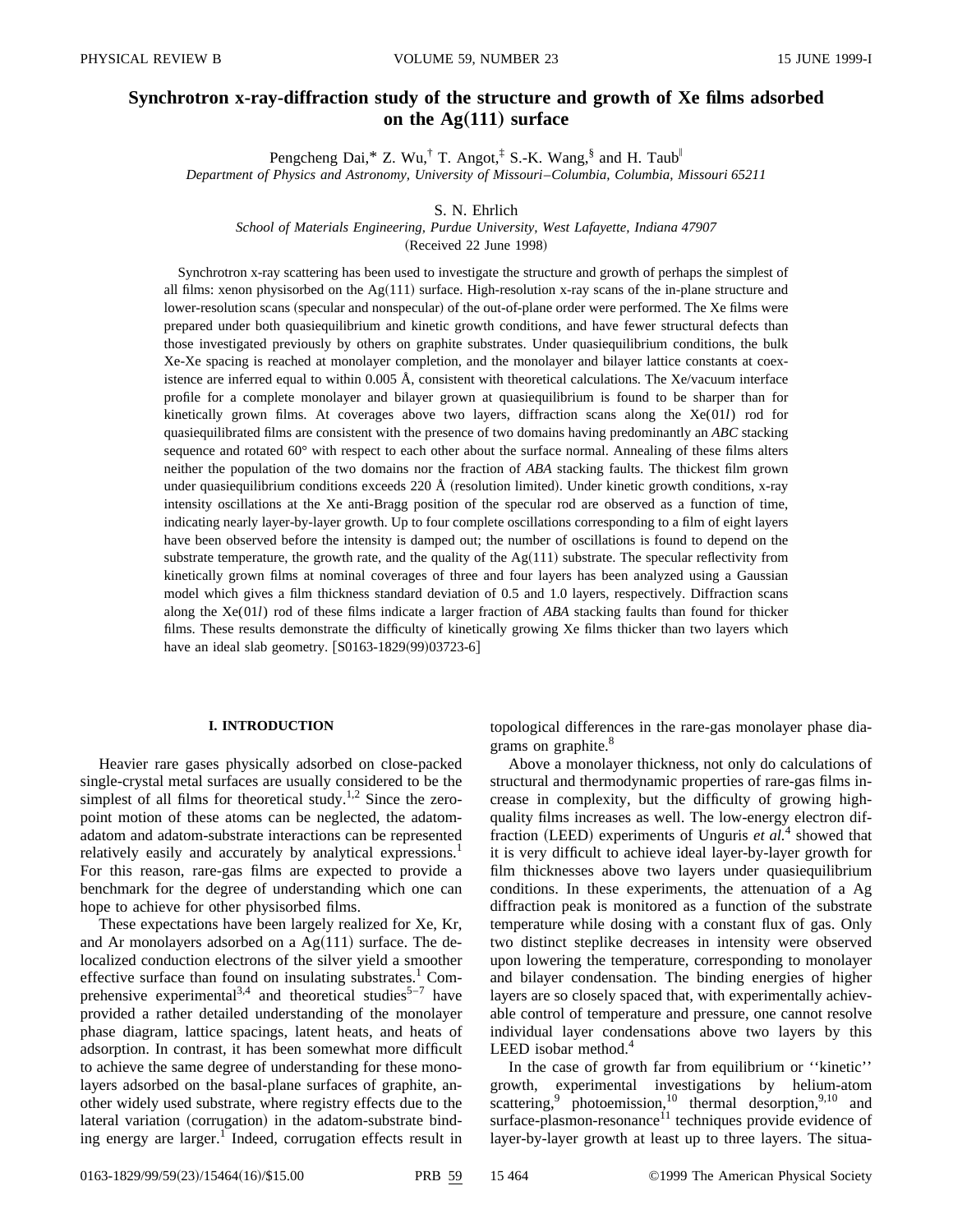# **Synchrotron x-ray-diffraction study of the structure and growth of Xe films adsorbed** on the  $Ag(111)$  surface

Pengcheng Dai,\* Z. Wu,<sup>†</sup> T. Angot,<sup>‡</sup> S.-K. Wang,<sup>§</sup> and H. Taub<sup>||</sup> *Department of Physics and Astronomy, University of Missouri*–*Columbia, Columbia, Missouri 65211*

### S. N. Ehrlich

*School of Materials Engineering, Purdue University, West Lafayette, Indiana 47907*

(Received 22 June 1998)

Synchrotron x-ray scattering has been used to investigate the structure and growth of perhaps the simplest of all films: xenon physisorbed on the Ag $(111)$  surface. High-resolution x-ray scans of the in-plane structure and lower-resolution scans (specular and nonspecular) of the out-of-plane order were performed. The Xe films were prepared under both quasiequilibrium and kinetic growth conditions, and have fewer structural defects than those investigated previously by others on graphite substrates. Under quasiequilibrium conditions, the bulk Xe-Xe spacing is reached at monolayer completion, and the monolayer and bilayer lattice constants at coexistence are inferred equal to within 0.005 Å, consistent with theoretical calculations. The Xe/vacuum interface profile for a complete monolayer and bilayer grown at quasiequilibrium is found to be sharper than for kinetically grown films. At coverages above two layers, diffraction scans along the Xe(01*l*) rod for quasiequilibrated films are consistent with the presence of two domains having predominantly an *ABC* stacking sequence and rotated 60° with respect to each other about the surface normal. Annealing of these films alters neither the population of the two domains nor the fraction of *ABA* stacking faults. The thickest film grown under quasiequilibrium conditions exceeds  $220 \text{ Å}$  (resolution limited). Under kinetic growth conditions, x-ray intensity oscillations at the Xe anti-Bragg position of the specular rod are observed as a function of time, indicating nearly layer-by-layer growth. Up to four complete oscillations corresponding to a film of eight layers have been observed before the intensity is damped out; the number of oscillations is found to depend on the substrate temperature, the growth rate, and the quality of the  $Ag(111)$  substrate. The specular reflectivity from kinetically grown films at nominal coverages of three and four layers has been analyzed using a Gaussian model which gives a film thickness standard deviation of 0.5 and 1.0 layers, respectively. Diffraction scans along the Xe(01*l*) rod of these films indicate a larger fraction of *ABA* stacking faults than found for thicker films. These results demonstrate the difficulty of kinetically growing Xe films thicker than two layers which have an ideal slab geometry. [S0163-1829(99)03723-6]

#### **I. INTRODUCTION**

Heavier rare gases physically adsorbed on close-packed single-crystal metal surfaces are usually considered to be the simplest of all films for theoretical study.<sup>1,2</sup> Since the zeropoint motion of these atoms can be neglected, the adatomadatom and adatom-substrate interactions can be represented relatively easily and accurately by analytical expressions.<sup>1</sup> For this reason, rare-gas films are expected to provide a benchmark for the degree of understanding which one can hope to achieve for other physisorbed films.

These expectations have been largely realized for Xe, Kr, and Ar monolayers adsorbed on a  $Ag(111)$  surface. The delocalized conduction electrons of the silver yield a smoother effective surface than found on insulating substrates.<sup>1</sup> Comprehensive experimental<sup>3,4</sup> and theoretical studies<sup>5-7</sup> have provided a rather detailed understanding of the monolayer phase diagram, lattice spacings, latent heats, and heats of adsorption. In contrast, it has been somewhat more difficult to achieve the same degree of understanding for these monolayers adsorbed on the basal-plane surfaces of graphite, another widely used substrate, where registry effects due to the lateral variation (corrugation) in the adatom-substrate binding energy are  $larger.<sup>1</sup>$  Indeed, corrugation effects result in topological differences in the rare-gas monolayer phase diagrams on graphite.<sup>8</sup>

Above a monolayer thickness, not only do calculations of structural and thermodynamic properties of rare-gas films increase in complexity, but the difficulty of growing highquality films increases as well. The low-energy electron diffraction (LEED) experiments of Unguris *et al.*<sup>4</sup> showed that it is very difficult to achieve ideal layer-by-layer growth for film thicknesses above two layers under quasiequilibrium conditions. In these experiments, the attenuation of a Ag diffraction peak is monitored as a function of the substrate temperature while dosing with a constant flux of gas. Only two distinct steplike decreases in intensity were observed upon lowering the temperature, corresponding to monolayer and bilayer condensation. The binding energies of higher layers are so closely spaced that, with experimentally achievable control of temperature and pressure, one cannot resolve individual layer condensations above two layers by this LEED isobar method.<sup>4</sup>

In the case of growth far from equilibrium or ''kinetic'' growth, experimental investigations by helium-atom scattering,<sup>9</sup> photoemission,<sup>10</sup> thermal desorption,<sup>9,10</sup> and surface-plasmon-resonance $^{11}$  techniques provide evidence of layer-by-layer growth at least up to three layers. The situa-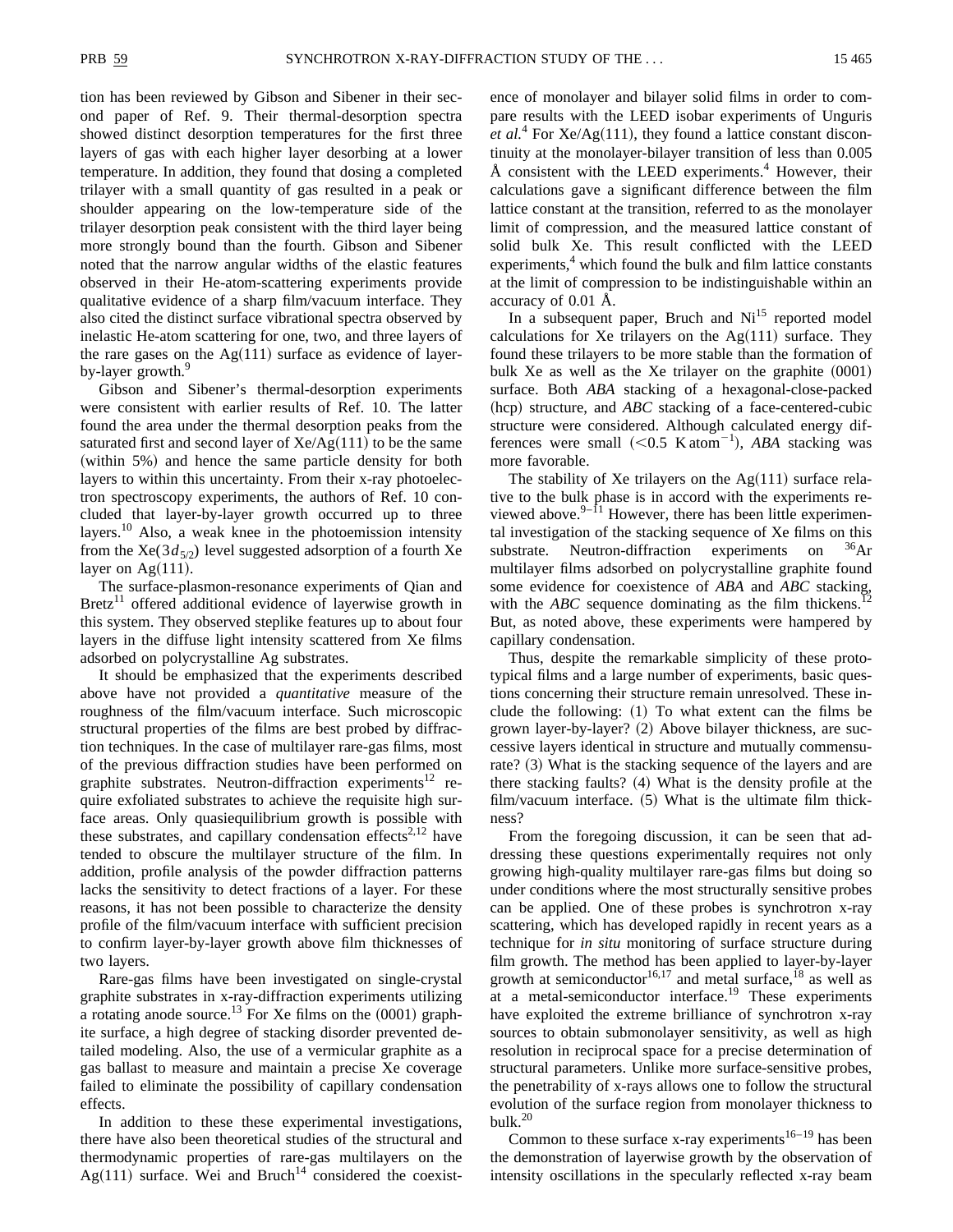tion has been reviewed by Gibson and Sibener in their second paper of Ref. 9. Their thermal-desorption spectra showed distinct desorption temperatures for the first three layers of gas with each higher layer desorbing at a lower temperature. In addition, they found that dosing a completed trilayer with a small quantity of gas resulted in a peak or shoulder appearing on the low-temperature side of the trilayer desorption peak consistent with the third layer being more strongly bound than the fourth. Gibson and Sibener noted that the narrow angular widths of the elastic features observed in their He-atom-scattering experiments provide qualitative evidence of a sharp film/vacuum interface. They also cited the distinct surface vibrational spectra observed by inelastic He-atom scattering for one, two, and three layers of the rare gases on the  $Ag(111)$  surface as evidence of layerby-layer growth.<sup>9</sup>

Gibson and Sibener's thermal-desorption experiments were consistent with earlier results of Ref. 10. The latter found the area under the thermal desorption peaks from the saturated first and second layer of  $Xe/Ag(111)$  to be the same (within  $5\%$ ) and hence the same particle density for both layers to within this uncertainty. From their x-ray photoelectron spectroscopy experiments, the authors of Ref. 10 concluded that layer-by-layer growth occurred up to three layers.<sup>10</sup> Also, a weak knee in the photoemission intensity from the Xe( $3d_{5/2}$ ) level suggested adsorption of a fourth Xe layer on  $Ag(111)$ .

The surface-plasmon-resonance experiments of Qian and  $Bretz<sup>11</sup>$  offered additional evidence of layerwise growth in this system. They observed steplike features up to about four layers in the diffuse light intensity scattered from Xe films adsorbed on polycrystalline Ag substrates.

It should be emphasized that the experiments described above have not provided a *quantitative* measure of the roughness of the film/vacuum interface. Such microscopic structural properties of the films are best probed by diffraction techniques. In the case of multilayer rare-gas films, most of the previous diffraction studies have been performed on graphite substrates. Neutron-diffraction experiments<sup>12</sup> require exfoliated substrates to achieve the requisite high surface areas. Only quasiequilibrium growth is possible with these substrates, and capillary condensation effects<sup>2,12</sup> have tended to obscure the multilayer structure of the film. In addition, profile analysis of the powder diffraction patterns lacks the sensitivity to detect fractions of a layer. For these reasons, it has not been possible to characterize the density profile of the film/vacuum interface with sufficient precision to confirm layer-by-layer growth above film thicknesses of two layers.

Rare-gas films have been investigated on single-crystal graphite substrates in x-ray-diffraction experiments utilizing a rotating anode source.<sup>13</sup> For Xe films on the  $(0001)$  graphite surface, a high degree of stacking disorder prevented detailed modeling. Also, the use of a vermicular graphite as a gas ballast to measure and maintain a precise Xe coverage failed to eliminate the possibility of capillary condensation effects.

In addition to these these experimental investigations, there have also been theoretical studies of the structural and thermodynamic properties of rare-gas multilayers on the Ag $(111)$  surface. Wei and Bruch<sup>14</sup> considered the coexistence of monolayer and bilayer solid films in order to compare results with the LEED isobar experiments of Unguris *et al.*<sup>4</sup> For Xe/Ag(111), they found a lattice constant discontinuity at the monolayer-bilayer transition of less than 0.005 Å consistent with the LEED experiments. $4$  However, their calculations gave a significant difference between the film lattice constant at the transition, referred to as the monolayer limit of compression, and the measured lattice constant of solid bulk Xe. This result conflicted with the LEED experiments, $4$  which found the bulk and film lattice constants at the limit of compression to be indistinguishable within an accuracy of 0.01 Å.

In a subsequent paper, Bruch and  $Ni<sup>15</sup>$  reported model calculations for Xe trilayers on the  $Ag(111)$  surface. They found these trilayers to be more stable than the formation of bulk Xe as well as the Xe trilayer on the graphite  $(0001)$ surface. Both *ABA* stacking of a hexagonal-close-packed (hcp) structure, and *ABC* stacking of a face-centered-cubic structure were considered. Although calculated energy differences were small  $(<0.5$  K atom<sup>-1</sup>), *ABA* stacking was more favorable.

The stability of Xe trilayers on the  $Ag(111)$  surface relative to the bulk phase is in accord with the experiments reviewed above. $9-11$  However, there has been little experimental investigation of the stacking sequence of Xe films on this substrate. Neutron-diffraction experiments on  $36Ar$ multilayer films adsorbed on polycrystalline graphite found some evidence for coexistence of *ABA* and *ABC* stacking, with the  $ABC$  sequence dominating as the film thickens.<sup>12</sup> But, as noted above, these experiments were hampered by capillary condensation.

Thus, despite the remarkable simplicity of these prototypical films and a large number of experiments, basic questions concerning their structure remain unresolved. These include the following:  $(1)$  To what extent can the films be grown layer-by-layer?  $(2)$  Above bilayer thickness, are successive layers identical in structure and mutually commensurate?  $(3)$  What is the stacking sequence of the layers and are there stacking faults?  $(4)$  What is the density profile at the film/vacuum interface.  $(5)$  What is the ultimate film thickness?

From the foregoing discussion, it can be seen that addressing these questions experimentally requires not only growing high-quality multilayer rare-gas films but doing so under conditions where the most structurally sensitive probes can be applied. One of these probes is synchrotron x-ray scattering, which has developed rapidly in recent years as a technique for *in situ* monitoring of surface structure during film growth. The method has been applied to layer-by-layer growth at semiconductor<sup>16,17</sup> and metal surface,<sup>18</sup> as well as at a metal-semiconductor interface.<sup>19</sup> These experiments have exploited the extreme brilliance of synchrotron x-ray sources to obtain submonolayer sensitivity, as well as high resolution in reciprocal space for a precise determination of structural parameters. Unlike more surface-sensitive probes, the penetrability of x-rays allows one to follow the structural evolution of the surface region from monolayer thickness to bulk. $20$ 

Common to these surface x-ray experiments<sup>16–19</sup> has been the demonstration of layerwise growth by the observation of intensity oscillations in the specularly reflected x-ray beam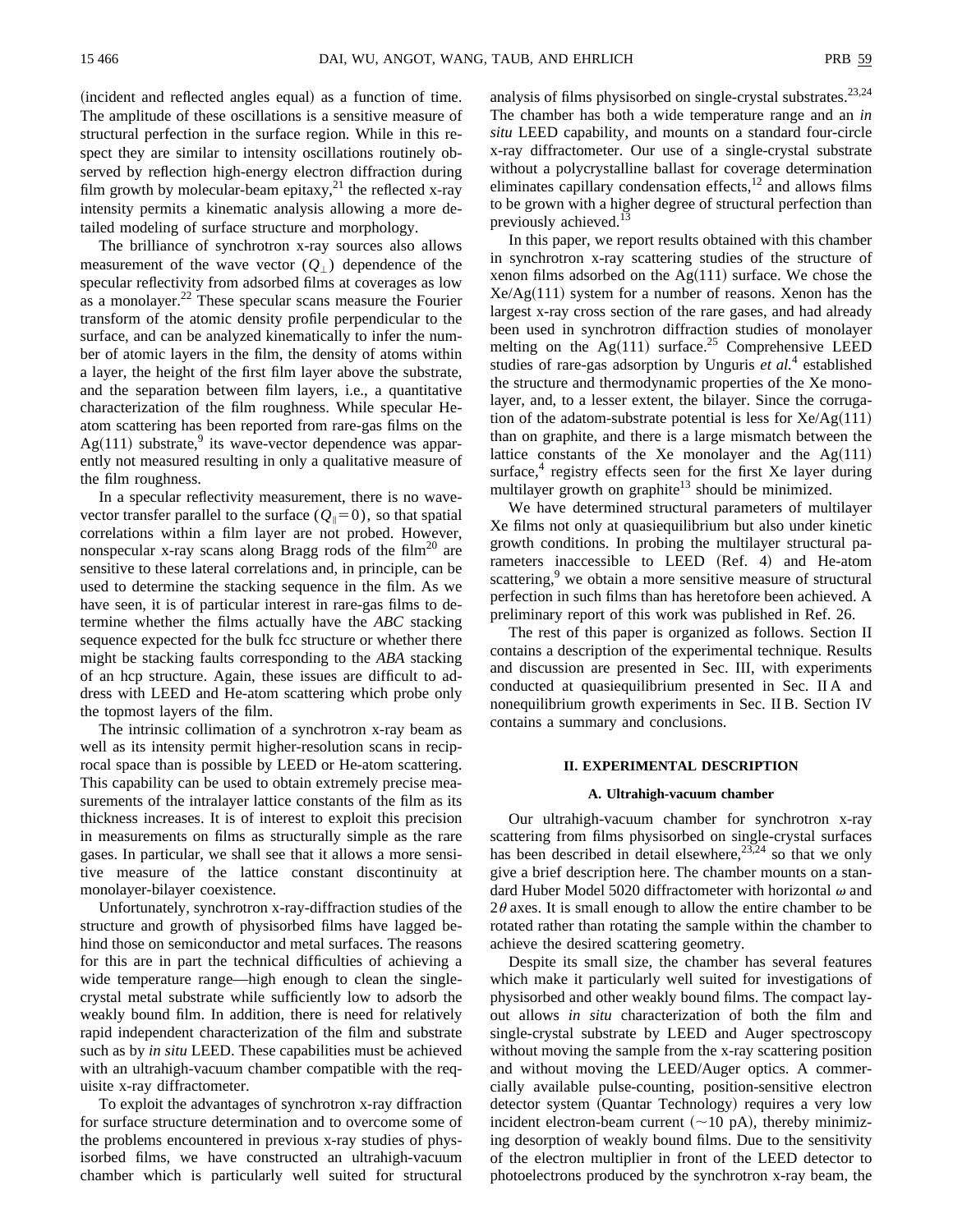(incident and reflected angles equal) as a function of time. The amplitude of these oscillations is a sensitive measure of structural perfection in the surface region. While in this respect they are similar to intensity oscillations routinely observed by reflection high-energy electron diffraction during film growth by molecular-beam epitaxy,<sup>21</sup> the reflected x-ray intensity permits a kinematic analysis allowing a more detailed modeling of surface structure and morphology.

The brilliance of synchrotron x-ray sources also allows measurement of the wave vector  $(Q_1)$  dependence of the specular reflectivity from adsorbed films at coverages as low as a monolayer.<sup>22</sup> These specular scans measure the Fourier transform of the atomic density profile perpendicular to the surface, and can be analyzed kinematically to infer the number of atomic layers in the film, the density of atoms within a layer, the height of the first film layer above the substrate, and the separation between film layers, i.e., a quantitative characterization of the film roughness. While specular Heatom scattering has been reported from rare-gas films on the Ag $(111)$  substrate,<sup>9</sup> its wave-vector dependence was apparently not measured resulting in only a qualitative measure of the film roughness.

In a specular reflectivity measurement, there is no wavevector transfer parallel to the surface  $(Q_{\parallel}=0)$ , so that spatial correlations within a film layer are not probed. However, nonspecular x-ray scans along Bragg rods of the film<sup>20</sup> are sensitive to these lateral correlations and, in principle, can be used to determine the stacking sequence in the film. As we have seen, it is of particular interest in rare-gas films to determine whether the films actually have the *ABC* stacking sequence expected for the bulk fcc structure or whether there might be stacking faults corresponding to the *ABA* stacking of an hcp structure. Again, these issues are difficult to address with LEED and He-atom scattering which probe only the topmost layers of the film.

The intrinsic collimation of a synchrotron x-ray beam as well as its intensity permit higher-resolution scans in reciprocal space than is possible by LEED or He-atom scattering. This capability can be used to obtain extremely precise measurements of the intralayer lattice constants of the film as its thickness increases. It is of interest to exploit this precision in measurements on films as structurally simple as the rare gases. In particular, we shall see that it allows a more sensitive measure of the lattice constant discontinuity at monolayer-bilayer coexistence.

Unfortunately, synchrotron x-ray-diffraction studies of the structure and growth of physisorbed films have lagged behind those on semiconductor and metal surfaces. The reasons for this are in part the technical difficulties of achieving a wide temperature range—high enough to clean the singlecrystal metal substrate while sufficiently low to adsorb the weakly bound film. In addition, there is need for relatively rapid independent characterization of the film and substrate such as by *in situ* LEED. These capabilities must be achieved with an ultrahigh-vacuum chamber compatible with the requisite x-ray diffractometer.

To exploit the advantages of synchrotron x-ray diffraction for surface structure determination and to overcome some of the problems encountered in previous x-ray studies of physisorbed films, we have constructed an ultrahigh-vacuum chamber which is particularly well suited for structural analysis of films physisorbed on single-crystal substrates.<sup>23,24</sup> The chamber has both a wide temperature range and an *in situ* LEED capability, and mounts on a standard four-circle x-ray diffractometer. Our use of a single-crystal substrate without a polycrystalline ballast for coverage determination eliminates capillary condensation effects, $12$  and allows films to be grown with a higher degree of structural perfection than previously achieved.<sup>13</sup>

In this paper, we report results obtained with this chamber in synchrotron x-ray scattering studies of the structure of xenon films adsorbed on the  $Ag(111)$  surface. We chose the  $Xe/Ag(111)$  system for a number of reasons. Xenon has the largest x-ray cross section of the rare gases, and had already been used in synchrotron diffraction studies of monolayer melting on the Ag $(111)$  surface.<sup>25</sup> Comprehensive LEED studies of rare-gas adsorption by Unguris *et al.*<sup>4</sup> established the structure and thermodynamic properties of the Xe monolayer, and, to a lesser extent, the bilayer. Since the corrugation of the adatom-substrate potential is less for  $Xe/Ag(111)$ than on graphite, and there is a large mismatch between the lattice constants of the Xe monolayer and the  $Ag(111)$ surface, $4$  registry effects seen for the first Xe layer during multilayer growth on graphite<sup>13</sup> should be minimized.

We have determined structural parameters of multilayer Xe films not only at quasiequilibrium but also under kinetic growth conditions. In probing the multilayer structural parameters inaccessible to LEED (Ref. 4) and He-atom scattering,<sup>9</sup> we obtain a more sensitive measure of structural perfection in such films than has heretofore been achieved. A preliminary report of this work was published in Ref. 26.

The rest of this paper is organized as follows. Section II contains a description of the experimental technique. Results and discussion are presented in Sec. III, with experiments conducted at quasiequilibrium presented in Sec. II A and nonequilibrium growth experiments in Sec. II B. Section IV contains a summary and conclusions.

#### **II. EXPERIMENTAL DESCRIPTION**

#### **A. Ultrahigh-vacuum chamber**

Our ultrahigh-vacuum chamber for synchrotron x-ray scattering from films physisorbed on single-crystal surfaces has been described in detail elsewhere,  $23,24$  so that we only give a brief description here. The chamber mounts on a standard Huber Model 5020 diffractometer with horizontal  $\omega$  and  $2\theta$  axes. It is small enough to allow the entire chamber to be rotated rather than rotating the sample within the chamber to achieve the desired scattering geometry.

Despite its small size, the chamber has several features which make it particularly well suited for investigations of physisorbed and other weakly bound films. The compact layout allows *in situ* characterization of both the film and single-crystal substrate by LEED and Auger spectroscopy without moving the sample from the x-ray scattering position and without moving the LEED/Auger optics. A commercially available pulse-counting, position-sensitive electron detector system (Quantar Technology) requires a very low incident electron-beam current  $(\sim 10 \text{ pA})$ , thereby minimizing desorption of weakly bound films. Due to the sensitivity of the electron multiplier in front of the LEED detector to photoelectrons produced by the synchrotron x-ray beam, the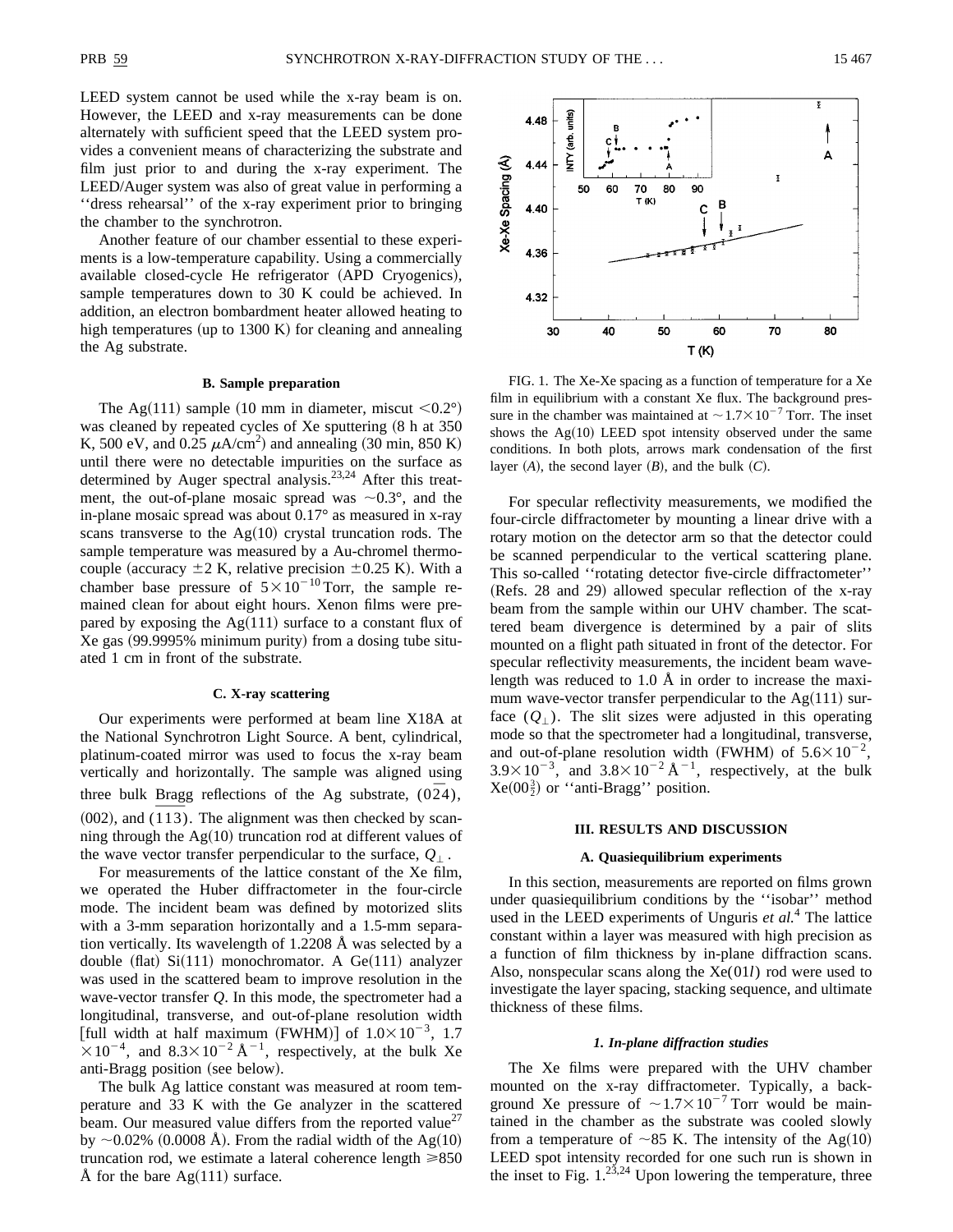LEED system cannot be used while the x-ray beam is on. However, the LEED and x-ray measurements can be done alternately with sufficient speed that the LEED system provides a convenient means of characterizing the substrate and film just prior to and during the x-ray experiment. The LEED/Auger system was also of great value in performing a ''dress rehearsal'' of the x-ray experiment prior to bringing the chamber to the synchrotron.

Another feature of our chamber essential to these experiments is a low-temperature capability. Using a commercially available closed-cycle He refrigerator (APD Cryogenics), sample temperatures down to 30 K could be achieved. In addition, an electron bombardment heater allowed heating to high temperatures (up to 1300 K) for cleaning and annealing the Ag substrate.

### **B. Sample preparation**

The Ag(111) sample (10 mm in diameter, miscut  $\langle 0.2^{\circ} \rangle$ was cleaned by repeated cycles of  $Xe$  sputtering  $(8 h at 350$ K, 500 eV, and 0.25  $\mu$ A/cm<sup>2</sup>) and annealing (30 min, 850 K) until there were no detectable impurities on the surface as determined by Auger spectral analysis.<sup>23,24</sup> After this treatment, the out-of-plane mosaic spread was  $\sim 0.3^{\circ}$ , and the in-plane mosaic spread was about 0.17° as measured in x-ray scans transverse to the  $Ag(10)$  crystal truncation rods. The sample temperature was measured by a Au-chromel thermocouple (accuracy  $\pm 2$  K, relative precision  $\pm 0.25$  K). With a chamber base pressure of  $5 \times 10^{-10}$  Torr, the sample remained clean for about eight hours. Xenon films were prepared by exposing the  $Ag(111)$  surface to a constant flux of  $Xe$  gas  $(99.9995\%$  minimum purity) from a dosing tube situated 1 cm in front of the substrate.

#### **C. X-ray scattering**

Our experiments were performed at beam line X18A at the National Synchrotron Light Source. A bent, cylindrical, platinum-coated mirror was used to focus the x-ray beam vertically and horizontally. The sample was aligned using three bulk Bragg reflections of the Ag substrate,  $(024)$ ,  $(002)$ , and  $(113)$ . The alignment was then checked by scan- $(002)$ , and  $(113)$ . The alignment was then checked by scanning through the  $Ag(10)$  truncation rod at different values of the wave vector transfer perpendicular to the surface,  $Q_{\perp}$ .

For measurements of the lattice constant of the Xe film, we operated the Huber diffractometer in the four-circle mode. The incident beam was defined by motorized slits with a 3-mm separation horizontally and a 1.5-mm separation vertically. Its wavelength of 1.2208 Å was selected by a double (flat)  $Si(111)$  monochromator. A Ge $(111)$  analyzer was used in the scattered beam to improve resolution in the wave-vector transfer *Q*. In this mode, the spectrometer had a longitudinal, transverse, and out-of-plane resolution width [full width at half maximum (FWHM)] of  $1.0\times10^{-3}$ , 1.7  $\times 10^{-4}$ , and  $8.3\times 10^{-2}$  Å<sup>-1</sup>, respectively, at the bulk Xe anti-Bragg position (see below).

The bulk Ag lattice constant was measured at room temperature and 33 K with the Ge analyzer in the scattered beam. Our measured value differs from the reported value<sup>27</sup> by  $\sim$ 0.02% (0.0008 Å). From the radial width of the Ag(10) truncation rod, we estimate a lateral coherence length  $\geq 850$ A for the bare  $Ag(111)$  surface.



FIG. 1. The Xe-Xe spacing as a function of temperature for a Xe film in equilibrium with a constant Xe flux. The background pressure in the chamber was maintained at  $\sim$  1.7 $\times$  10<sup>-7</sup> Torr. The inset shows the Ag $(10)$  LEED spot intensity observed under the same conditions. In both plots, arrows mark condensation of the first layer  $(A)$ , the second layer  $(B)$ , and the bulk  $(C)$ .

For specular reflectivity measurements, we modified the four-circle diffractometer by mounting a linear drive with a rotary motion on the detector arm so that the detector could be scanned perpendicular to the vertical scattering plane. This so-called ''rotating detector five-circle diffractometer'' (Refs. 28 and 29) allowed specular reflection of the x-ray beam from the sample within our UHV chamber. The scattered beam divergence is determined by a pair of slits mounted on a flight path situated in front of the detector. For specular reflectivity measurements, the incident beam wavelength was reduced to 1.0 Å in order to increase the maximum wave-vector transfer perpendicular to the  $Ag(111)$  surface  $(Q_{\perp})$ . The slit sizes were adjusted in this operating mode so that the spectrometer had a longitudinal, transverse, and out-of-plane resolution width (FWHM) of  $5.6\times10^{-2}$ ,  $3.9\times10^{-3}$ , and  $3.8\times10^{-2}$  Å<sup>-1</sup>, respectively, at the bulk  $Xe(00\frac{3}{2})$  or "anti-Bragg" position.

### **III. RESULTS AND DISCUSSION**

### **A. Quasiequilibrium experiments**

In this section, measurements are reported on films grown under quasiequilibrium conditions by the ''isobar'' method used in the LEED experiments of Unguris *et al.*<sup>4</sup> The lattice constant within a layer was measured with high precision as a function of film thickness by in-plane diffraction scans. Also, nonspecular scans along the Xe(01*l*) rod were used to investigate the layer spacing, stacking sequence, and ultimate thickness of these films.

#### *1. In-plane diffraction studies*

The Xe films were prepared with the UHV chamber mounted on the x-ray diffractometer. Typically, a background Xe pressure of  $\sim 1.7 \times 10^{-7}$  Torr would be maintained in the chamber as the substrate was cooled slowly from a temperature of  $\sim 85$  K. The intensity of the Ag(10) LEED spot intensity recorded for one such run is shown in the inset to Fig.  $1.^{23,24}$  Upon lowering the temperature, three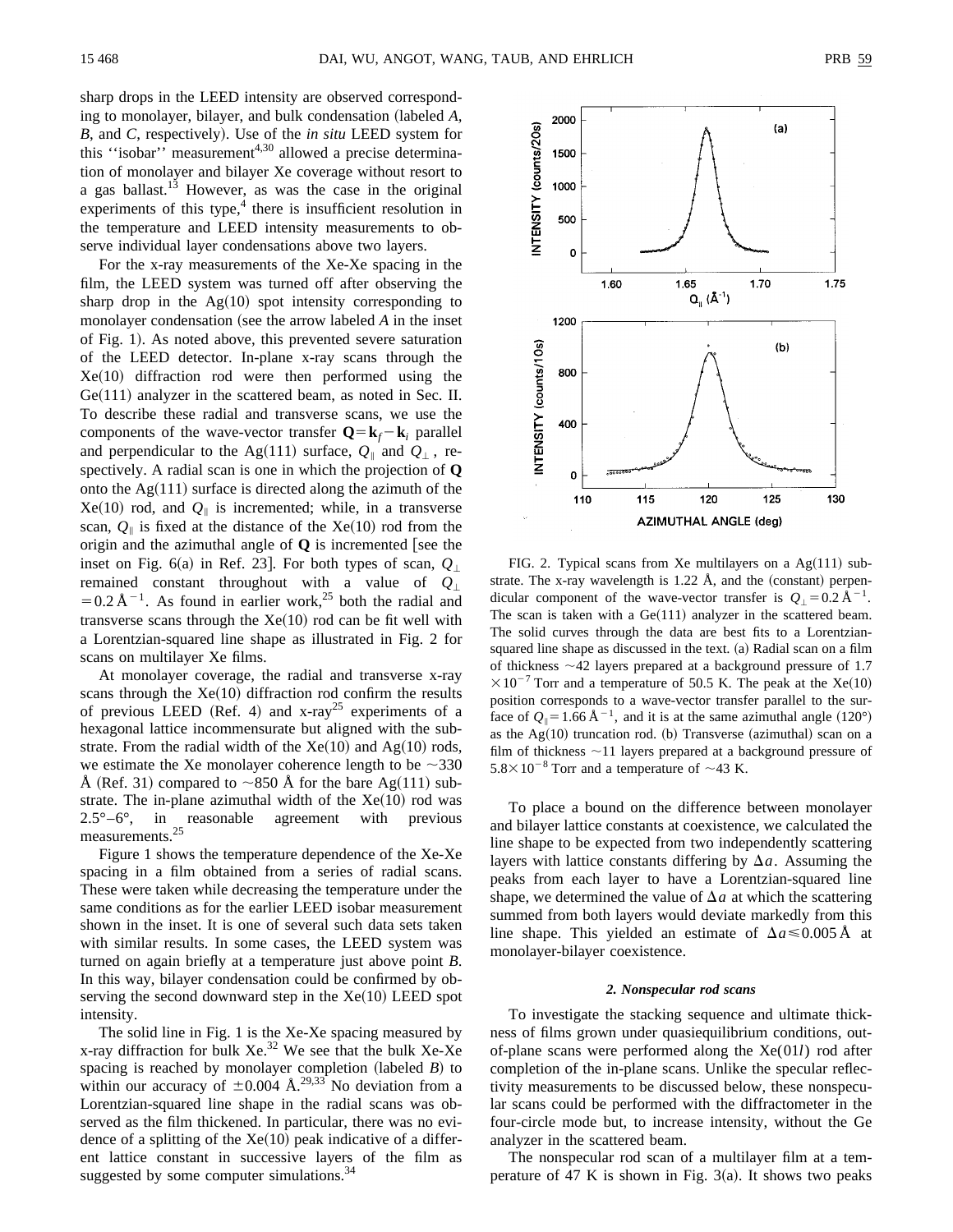sharp drops in the LEED intensity are observed corresponding to monolayer, bilayer, and bulk condensation (labeled *A*, *B*, and *C*, respectively). Use of the *in situ* LEED system for this "isobar" measurement<sup>4,30</sup> allowed a precise determination of monolayer and bilayer Xe coverage without resort to a gas ballast.<sup>13</sup> However, as was the case in the original experiments of this type, $4$  there is insufficient resolution in the temperature and LEED intensity measurements to observe individual layer condensations above two layers.

For the x-ray measurements of the Xe-Xe spacing in the film, the LEED system was turned off after observing the sharp drop in the  $Ag(10)$  spot intensity corresponding to monolayer condensation (see the arrow labeled *A* in the inset of Fig. 1). As noted above, this prevented severe saturation of the LEED detector. In-plane x-ray scans through the  $Xe(10)$  diffraction rod were then performed using the  $Ge(111)$  analyzer in the scattered beam, as noted in Sec. II. To describe these radial and transverse scans, we use the components of the wave-vector transfer  $Q = k_f - k_i$  parallel and perpendicular to the Ag(111) surface,  $Q_{\parallel}$  and  $Q_{\perp}$ , respectively. A radial scan is one in which the projection of **Q** onto the  $Ag(111)$  surface is directed along the azimuth of the  $Xe(10)$  rod, and  $Q_{\parallel}$  is incremented; while, in a transverse scan,  $Q_{\parallel}$  is fixed at the distance of the Xe(10) rod from the origin and the azimuthal angle of  $Q$  is incremented [see the inset on Fig. 6(a) in Ref. 23]. For both types of scan,  $Q_{\perp}$ remained constant throughout with a value of *Q*'  $=0.2 \text{ Å}^{-1}$ . As found in earlier work,<sup>25</sup> both the radial and transverse scans through the  $Xe(10)$  rod can be fit well with a Lorentzian-squared line shape as illustrated in Fig. 2 for scans on multilayer Xe films.

At monolayer coverage, the radial and transverse x-ray scans through the  $Xe(10)$  diffraction rod confirm the results of previous LEED (Ref. 4) and x-ray<sup>25</sup> experiments of a hexagonal lattice incommensurate but aligned with the substrate. From the radial width of the  $Xe(10)$  and Ag(10) rods, we estimate the Xe monolayer coherence length to be  $\sim$ 330 A (Ref. 31) compared to  $\sim$ 850 Å for the bare Ag(111) substrate. The in-plane azimuthal width of the  $Xe(10)$  rod was  $2.5^{\circ} - 6^{\circ}$ , in reasonable agreement with previous measurements.<sup>25</sup>

Figure 1 shows the temperature dependence of the Xe-Xe spacing in a film obtained from a series of radial scans. These were taken while decreasing the temperature under the same conditions as for the earlier LEED isobar measurement shown in the inset. It is one of several such data sets taken with similar results. In some cases, the LEED system was turned on again briefly at a temperature just above point *B*. In this way, bilayer condensation could be confirmed by observing the second downward step in the  $Xe(10)$  LEED spot intensity.

The solid line in Fig. 1 is the Xe-Xe spacing measured by x-ray diffraction for bulk Xe.<sup>32</sup> We see that the bulk Xe-Xe spacing is reached by monolayer completion (labeled *B*) to within our accuracy of  $\pm 0.004$  Å.<sup>29,33</sup> No deviation from a Lorentzian-squared line shape in the radial scans was observed as the film thickened. In particular, there was no evidence of a splitting of the  $Xe(10)$  peak indicative of a different lattice constant in successive layers of the film as suggested by some computer simulations.<sup>3</sup>



FIG. 2. Typical scans from Xe multilayers on a  $Ag(111)$  substrate. The x-ray wavelength is  $1.22$  Å, and the (constant) perpendicular component of the wave-vector transfer is  $Q_{\perp} = 0.2 \text{ Å}^{-1}$ . The scan is taken with a  $Ge(111)$  analyzer in the scattered beam. The solid curves through the data are best fits to a Lorentziansquared line shape as discussed in the text.  $(a)$  Radial scan on a film of thickness  $\sim$  42 layers prepared at a background pressure of 1.7  $\times 10^{-7}$  Torr and a temperature of 50.5 K. The peak at the Xe(10) position corresponds to a wave-vector transfer parallel to the surface of  $Q_{\parallel} = 1.66 \text{ Å}^{-1}$ , and it is at the same azimuthal angle (120°) as the Ag $(10)$  truncation rod.  $(b)$  Transverse (azimuthal) scan on a film of thickness  $\sim$ 11 layers prepared at a background pressure of  $5.8\times10^{-8}$  Torr and a temperature of  $\sim$ 43 K.

To place a bound on the difference between monolayer and bilayer lattice constants at coexistence, we calculated the line shape to be expected from two independently scattering layers with lattice constants differing by  $\Delta a$ . Assuming the peaks from each layer to have a Lorentzian-squared line shape, we determined the value of  $\Delta a$  at which the scattering summed from both layers would deviate markedly from this line shape. This yielded an estimate of  $\Delta a \leq 0.005 \text{ Å}$  at monolayer-bilayer coexistence.

### *2. Nonspecular rod scans*

To investigate the stacking sequence and ultimate thickness of films grown under quasiequilibrium conditions, outof-plane scans were performed along the Xe(01*l*) rod after completion of the in-plane scans. Unlike the specular reflectivity measurements to be discussed below, these nonspecular scans could be performed with the diffractometer in the four-circle mode but, to increase intensity, without the Ge analyzer in the scattered beam.

The nonspecular rod scan of a multilayer film at a temperature of 47 K is shown in Fig.  $3(a)$ . It shows two peaks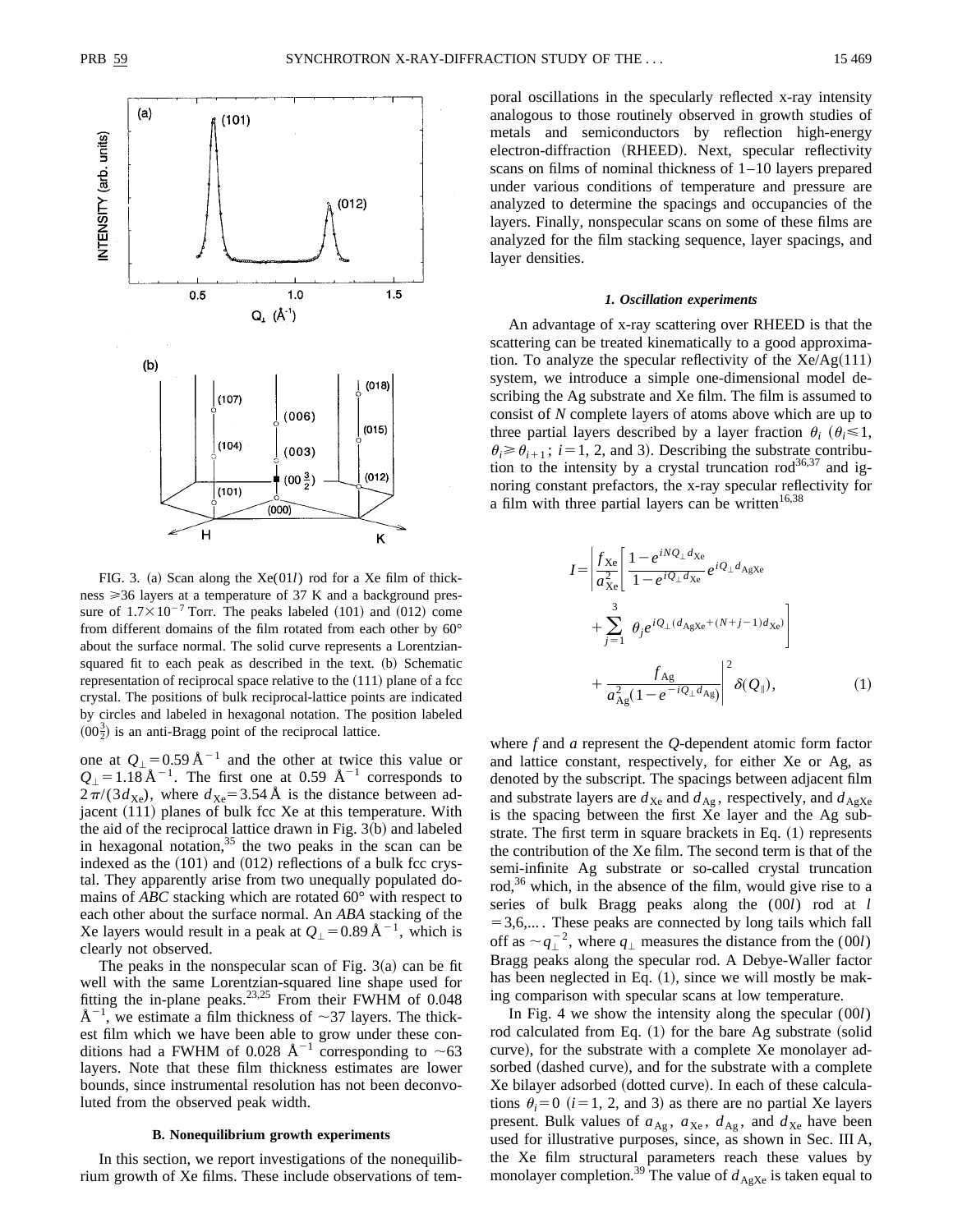

FIG. 3. (a) Scan along the Xe(01*l*) rod for a Xe film of thickness  $\geq 36$  layers at a temperature of 37 K and a background pressure of  $1.7 \times 10^{-7}$  Torr. The peaks labeled (101) and (012) come from different domains of the film rotated from each other by 60° about the surface normal. The solid curve represents a Lorentziansquared fit to each peak as described in the text. (b) Schematic representation of reciprocal space relative to the  $(111)$  plane of a fcc crystal. The positions of bulk reciprocal-lattice points are indicated by circles and labeled in hexagonal notation. The position labeled  $(00\frac{3}{2})$  is an anti-Bragg point of the reciprocal lattice.

one at  $Q_{\perp} = 0.59 \text{ Å}^{-1}$  and the other at twice this value or  $Q_{\perp}$  = 1.18 Å<sup>-1</sup>. The first one at 0.59 Å<sup>-1</sup> corresponds to  $2\pi/(3d_{\text{Xe}})$ , where  $d_{\text{Xe}}=3.54$  Å is the distance between adjacent  $(111)$  planes of bulk fcc Xe at this temperature. With the aid of the reciprocal lattice drawn in Fig.  $3(b)$  and labeled in hexagonal notation,  $35$  the two peaks in the scan can be indexed as the  $(101)$  and  $(012)$  reflections of a bulk fcc crystal. They apparently arise from two unequally populated domains of *ABC* stacking which are rotated 60° with respect to each other about the surface normal. An *ABA* stacking of the Xe layers would result in a peak at  $Q_{\perp}$  = 0.89 Å<sup>-1</sup>, which is clearly not observed.

The peaks in the nonspecular scan of Fig.  $3(a)$  can be fit well with the same Lorentzian-squared line shape used for fitting the in-plane peaks.<sup>23,25</sup> From their FWHM of  $0.048$  $\AA^{-1}$ , we estimate a film thickness of  $\sim$ 37 layers. The thickest film which we have been able to grow under these conditions had a FWHM of 0.028  $\AA^{-1}$  corresponding to ~63 layers. Note that these film thickness estimates are lower bounds, since instrumental resolution has not been deconvoluted from the observed peak width.

#### **B. Nonequilibrium growth experiments**

In this section, we report investigations of the nonequilibrium growth of Xe films. These include observations of temporal oscillations in the specularly reflected x-ray intensity analogous to those routinely observed in growth studies of metals and semiconductors by reflection high-energy electron-diffraction (RHEED). Next, specular reflectivity scans on films of nominal thickness of 1–10 layers prepared under various conditions of temperature and pressure are analyzed to determine the spacings and occupancies of the layers. Finally, nonspecular scans on some of these films are analyzed for the film stacking sequence, layer spacings, and layer densities.

#### *1. Oscillation experiments*

An advantage of x-ray scattering over RHEED is that the scattering can be treated kinematically to a good approximation. To analyze the specular reflectivity of the  $Xe/Ag(111)$ system, we introduce a simple one-dimensional model describing the Ag substrate and Xe film. The film is assumed to consist of *N* complete layers of atoms above which are up to three partial layers described by a layer fraction  $\theta_i$  ( $\theta_i \leq 1$ ,  $\theta_i \geq \theta_{i+1}$ ; *i* = 1, 2, and 3). Describing the substrate contribution to the intensity by a crystal truncation  $rod^{36,37}$  and ignoring constant prefactors, the x-ray specular reflectivity for a film with three partial layers can be written $16,38$ 

$$
I = \left| \frac{f_{\text{Xe}}}{a_{\text{Xe}}^2} \left[ \frac{1 - e^{iNQ_{\perp}d_{\text{Xe}}}}{1 - e^{iQ_{\perp}d_{\text{Xe}}}} e^{iQ_{\perp}d_{\text{AgXe}}}\right.\right.
$$
  
+ 
$$
\sum_{j=1}^{3} \theta_{j} e^{iQ_{\perp}(d_{\text{AgXe}} + (N+j-1)d_{\text{Xe}})} \right] + \frac{f_{\text{Ag}}}{a_{\text{Ag}}^2(1 - e^{-iQ_{\perp}d_{\text{Ag}}})} \left| \frac{2}{\delta(Q_{\parallel})}, \right.
$$
 (1)

where *f* and *a* represent the *Q*-dependent atomic form factor and lattice constant, respectively, for either Xe or Ag, as denoted by the subscript. The spacings between adjacent film and substrate layers are  $d_{Xe}$  and  $d_{Ag}$ , respectively, and  $d_{AgXe}$ is the spacing between the first Xe layer and the Ag substrate. The first term in square brackets in Eq.  $(1)$  represents the contribution of the Xe film. The second term is that of the semi-infinite Ag substrate or so-called crystal truncation rod, $36$  which, in the absence of the film, would give rise to a series of bulk Bragg peaks along the (00*l*) rod at *l*  $=$  3,6,... . These peaks are connected by long tails which fall off as  $\sim q^{-2}$ , where  $q_{\perp}$  measures the distance from the (00*l*) Bragg peaks along the specular rod. A Debye-Waller factor has been neglected in Eq.  $(1)$ , since we will mostly be making comparison with specular scans at low temperature.

In Fig. 4 we show the intensity along the specular (00*l*) rod calculated from Eq.  $(1)$  for the bare Ag substrate (solid curve), for the substrate with a complete Xe monolayer adsorbed (dashed curve), and for the substrate with a complete Xe bilayer adsorbed (dotted curve). In each of these calculations  $\theta_i = 0$  ( $i = 1, 2,$  and 3) as there are no partial Xe layers present. Bulk values of  $a_{Ag}$ ,  $a_{Xe}$ ,  $d_{Ag}$ , and  $d_{Xe}$  have been used for illustrative purposes, since, as shown in Sec. III A, the Xe film structural parameters reach these values by monolayer completion.<sup>39</sup> The value of  $d_{\text{AgXe}}$  is taken equal to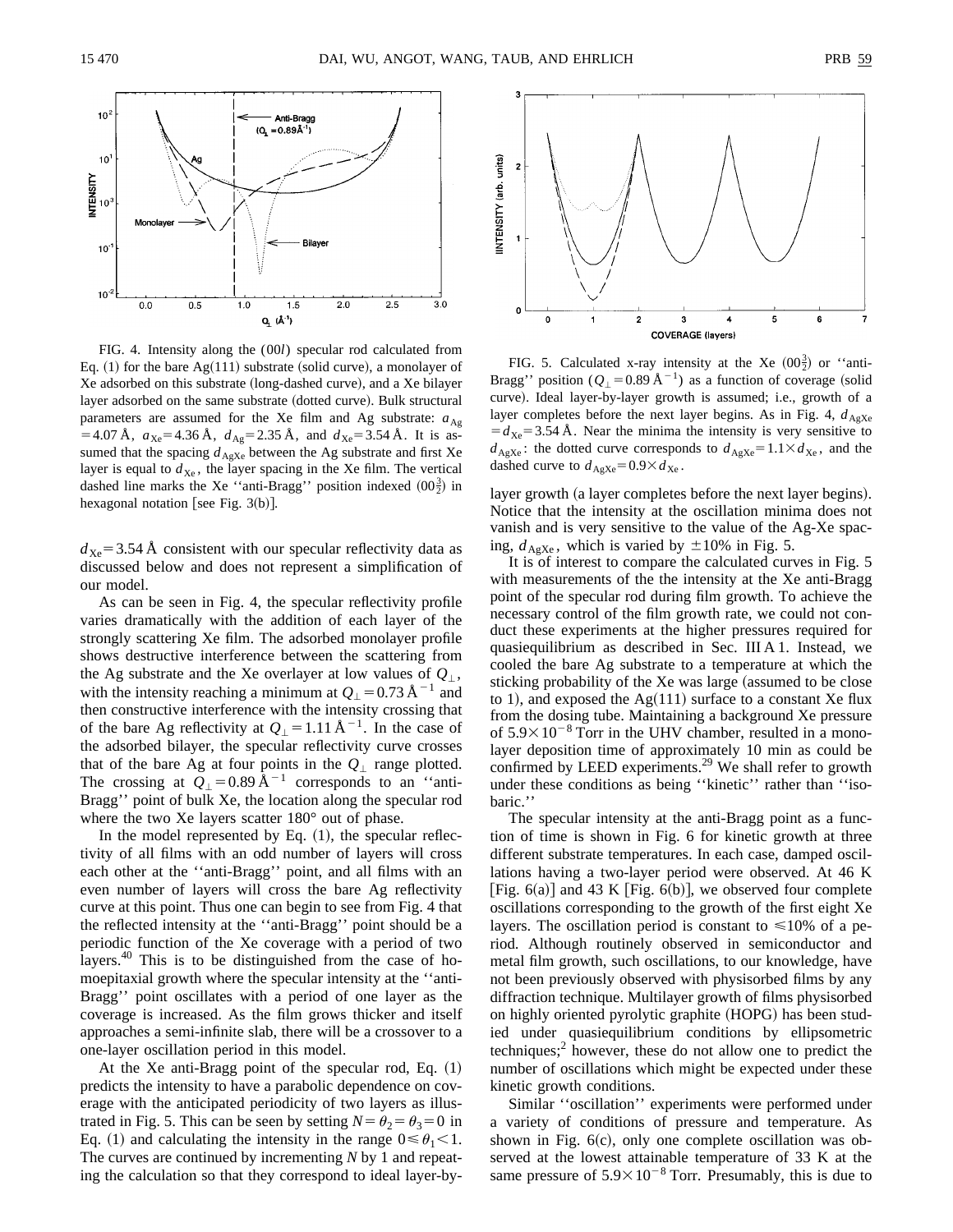

FIG. 4. Intensity along the (00*l*) specular rod calculated from Eq.  $(1)$  for the bare Ag $(111)$  substrate (solid curve), a monolayer of Xe adsorbed on this substrate (long-dashed curve), and a Xe bilayer layer adsorbed on the same substrate (dotted curve). Bulk structural parameters are assumed for the Xe film and Ag substrate:  $a_{\text{Ag}}$  $=4.07 \text{ Å}, a_{\text{Xe}}=4.36 \text{ Å}, d_{\text{Ag}}=2.35 \text{ Å}, \text{ and } d_{\text{Xe}}=3.54 \text{ Å}.$  It is assumed that the spacing  $d_{\text{AgXe}}$  between the Ag substrate and first Xe layer is equal to  $d_{Xe}$ , the layer spacing in the Xe film. The vertical dashed line marks the Xe "anti-Bragg" position indexed  $(00\frac{3}{2})$  in hexagonal notation [see Fig.  $3(b)$ ].

 $d_{\text{Xe}}$ =3.54 Å consistent with our specular reflectivity data as discussed below and does not represent a simplification of our model.

As can be seen in Fig. 4, the specular reflectivity profile varies dramatically with the addition of each layer of the strongly scattering Xe film. The adsorbed monolayer profile shows destructive interference between the scattering from the Ag substrate and the Xe overlayer at low values of  $Q_{\perp}$ , with the intensity reaching a minimum at  $Q_1 = 0.73 \text{ Å}^{-1}$  and then constructive interference with the intensity crossing that of the bare Ag reflectivity at  $Q_1 = 1.11 \text{ Å}^{-1}$ . In the case of the adsorbed bilayer, the specular reflectivity curve crosses that of the bare Ag at four points in the  $Q_{\perp}$  range plotted. The crossing at  $Q_1 = 0.89 \text{ Å}^{-1}$  corresponds to an "anti-Bragg'' point of bulk Xe, the location along the specular rod where the two Xe layers scatter 180° out of phase.

In the model represented by Eq.  $(1)$ , the specular reflectivity of all films with an odd number of layers will cross each other at the ''anti-Bragg'' point, and all films with an even number of layers will cross the bare Ag reflectivity curve at this point. Thus one can begin to see from Fig. 4 that the reflected intensity at the ''anti-Bragg'' point should be a periodic function of the Xe coverage with a period of two layers.<sup>40</sup> This is to be distinguished from the case of homoepitaxial growth where the specular intensity at the ''anti-Bragg'' point oscillates with a period of one layer as the coverage is increased. As the film grows thicker and itself approaches a semi-infinite slab, there will be a crossover to a one-layer oscillation period in this model.

At the Xe anti-Bragg point of the specular rod, Eq.  $(1)$ predicts the intensity to have a parabolic dependence on coverage with the anticipated periodicity of two layers as illustrated in Fig. 5. This can be seen by setting  $N = \theta_2 = \theta_3 = 0$  in Eq. (1) and calculating the intensity in the range  $0 \le \theta_1 < 1$ . The curves are continued by incrementing *N* by 1 and repeating the calculation so that they correspond to ideal layer-by-



FIG. 5. Calculated x-ray intensity at the Xe  $(00\frac{3}{2})$  or "anti-Bragg'' position  $(Q_1 = 0.89 \text{ Å}^{-1})$  as a function of coverage (solid curve). Ideal layer-by-layer growth is assumed; i.e., growth of a layer completes before the next layer begins. As in Fig. 4,  $d_{AgXe}$  $= d_{\text{Xe}} = 3.54$  Å. Near the minima the intensity is very sensitive to  $d_{\text{AgXe}}$ : the dotted curve corresponds to  $d_{\text{AgXe}}=1.1\times d_{\text{Xe}}$ , and the dashed curve to  $d_{\text{AgXe}} = 0.9 \times d_{\text{Xe}}$ .

layer growth (a layer completes before the next layer begins). Notice that the intensity at the oscillation minima does not vanish and is very sensitive to the value of the Ag-Xe spacing,  $d_{\text{AgXe}}$ , which is varied by  $\pm 10\%$  in Fig. 5.

It is of interest to compare the calculated curves in Fig. 5 with measurements of the the intensity at the Xe anti-Bragg point of the specular rod during film growth. To achieve the necessary control of the film growth rate, we could not conduct these experiments at the higher pressures required for quasiequilibrium as described in Sec. III A 1. Instead, we cooled the bare Ag substrate to a temperature at which the sticking probability of the Xe was large (assumed to be close to 1), and exposed the  $Ag(111)$  surface to a constant Xe flux from the dosing tube. Maintaining a background Xe pressure of  $5.9\times10^{-8}$  Torr in the UHV chamber, resulted in a monolayer deposition time of approximately 10 min as could be confirmed by LEED experiments.<sup>29</sup> We shall refer to growth under these conditions as being ''kinetic'' rather than ''isobaric.''

The specular intensity at the anti-Bragg point as a function of time is shown in Fig. 6 for kinetic growth at three different substrate temperatures. In each case, damped oscillations having a two-layer period were observed. At 46 K [Fig. 6(a)] and 43 K [Fig. 6(b)], we observed four complete oscillations corresponding to the growth of the first eight Xe layers. The oscillation period is constant to  $\leq 10\%$  of a period. Although routinely observed in semiconductor and metal film growth, such oscillations, to our knowledge, have not been previously observed with physisorbed films by any diffraction technique. Multilayer growth of films physisorbed on highly oriented pyrolytic graphite (HOPG) has been studied under quasiequilibrium conditions by ellipsometric techniques;<sup>2</sup> however, these do not allow one to predict the number of oscillations which might be expected under these kinetic growth conditions.

Similar ''oscillation'' experiments were performed under a variety of conditions of pressure and temperature. As shown in Fig.  $6(c)$ , only one complete oscillation was observed at the lowest attainable temperature of 33 K at the same pressure of  $5.9 \times 10^{-8}$  Torr. Presumably, this is due to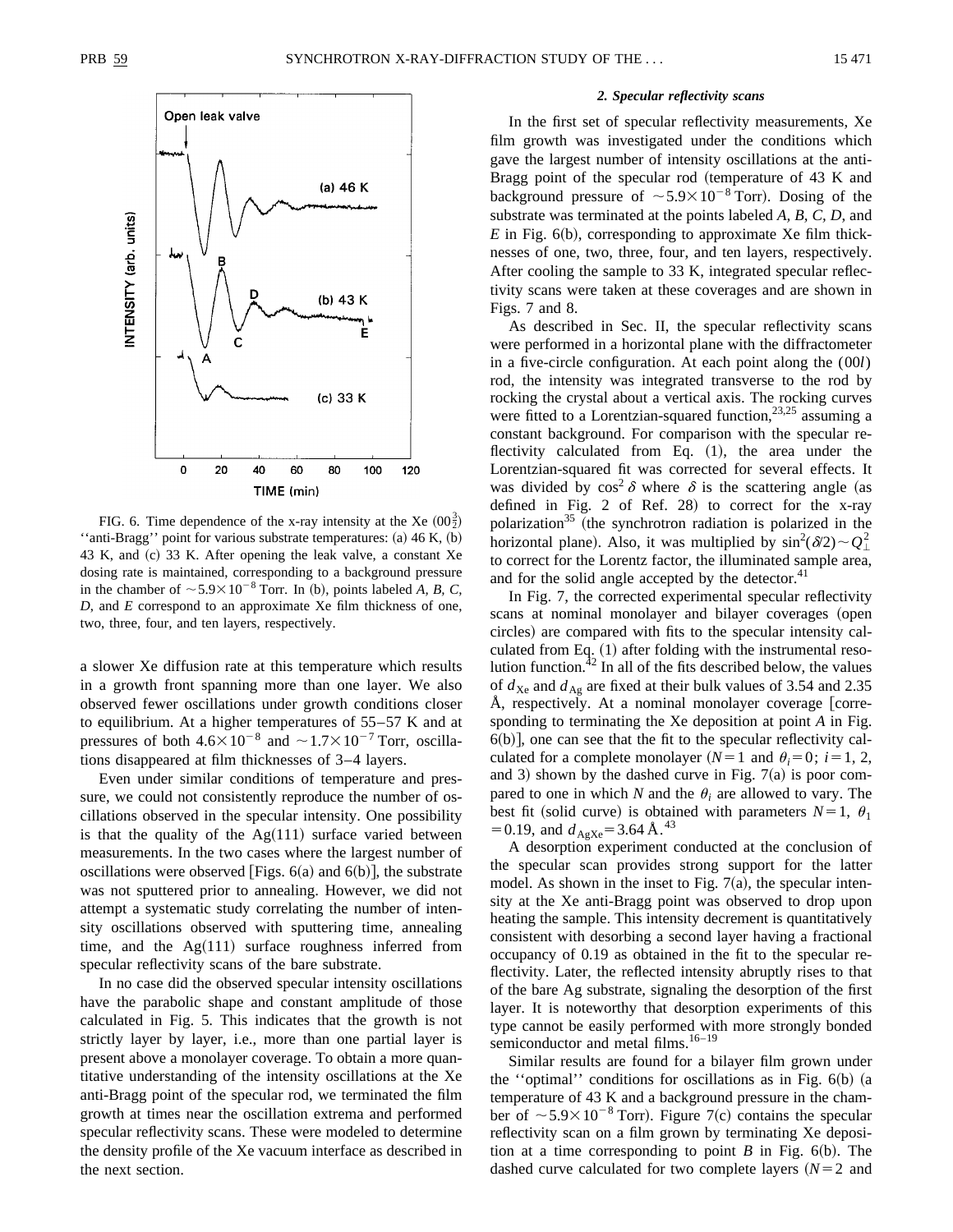

FIG. 6. Time dependence of the x-ray intensity at the Xe  $(00\frac{3}{2})$ "anti-Bragg" point for various substrate temperatures:  $(a)$  46 K,  $(b)$ 43 K, and (c) 33 K. After opening the leak valve, a constant Xe dosing rate is maintained, corresponding to a background pressure in the chamber of  $\sim$  5.9 $\times$ 10<sup>-8</sup> Torr. In (b), points labeled *A, B, C, D*, and *E* correspond to an approximate Xe film thickness of one, two, three, four, and ten layers, respectively.

a slower Xe diffusion rate at this temperature which results in a growth front spanning more than one layer. We also observed fewer oscillations under growth conditions closer to equilibrium. At a higher temperatures of 55–57 K and at pressures of both  $4.6\times10^{-8}$  and  $\sim1.7\times10^{-7}$  Torr, oscillations disappeared at film thicknesses of 3–4 layers.

Even under similar conditions of temperature and pressure, we could not consistently reproduce the number of oscillations observed in the specular intensity. One possibility is that the quality of the  $Ag(111)$  surface varied between measurements. In the two cases where the largest number of oscillations were observed [Figs.  $6(a)$  and  $6(b)$ ], the substrate was not sputtered prior to annealing. However, we did not attempt a systematic study correlating the number of intensity oscillations observed with sputtering time, annealing time, and the  $Ag(111)$  surface roughness inferred from specular reflectivity scans of the bare substrate.

In no case did the observed specular intensity oscillations have the parabolic shape and constant amplitude of those calculated in Fig. 5. This indicates that the growth is not strictly layer by layer, i.e., more than one partial layer is present above a monolayer coverage. To obtain a more quantitative understanding of the intensity oscillations at the Xe anti-Bragg point of the specular rod, we terminated the film growth at times near the oscillation extrema and performed specular reflectivity scans. These were modeled to determine the density profile of the Xe vacuum interface as described in the next section.

### *2. Specular reflectivity scans*

In the first set of specular reflectivity measurements, Xe film growth was investigated under the conditions which gave the largest number of intensity oscillations at the anti-Bragg point of the specular rod (temperature of  $43$  K and background pressure of  $\sim 5.9 \times 10^{-8}$  Torr). Dosing of the substrate was terminated at the points labeled *A, B, C, D*, and  $E$  in Fig. 6(b), corresponding to approximate Xe film thicknesses of one, two, three, four, and ten layers, respectively. After cooling the sample to 33 K, integrated specular reflectivity scans were taken at these coverages and are shown in Figs. 7 and 8.

As described in Sec. II, the specular reflectivity scans were performed in a horizontal plane with the diffractometer in a five-circle configuration. At each point along the (00*l*) rod, the intensity was integrated transverse to the rod by rocking the crystal about a vertical axis. The rocking curves were fitted to a Lorentzian-squared function,  $23,25$  assuming a constant background. For comparison with the specular reflectivity calculated from Eq.  $(1)$ , the area under the Lorentzian-squared fit was corrected for several effects. It was divided by  $\cos^2 \delta$  where  $\delta$  is the scattering angle (as defined in Fig. 2 of Ref. 28) to correct for the  $x$ -ray polarization<sup>35</sup> (the synchrotron radiation is polarized in the horizontal plane). Also, it was multiplied by  $\sin^2(\delta/2) \sim Q^2$ to correct for the Lorentz factor, the illuminated sample area, and for the solid angle accepted by the detector. $41$ 

In Fig. 7, the corrected experimental specular reflectivity scans at nominal monolayer and bilayer coverages (open circles) are compared with fits to the specular intensity calculated from Eq.  $(1)$  after folding with the instrumental resolution function. $42$  In all of the fits described below, the values of  $d_{Xe}$  and  $d_{Ag}$  are fixed at their bulk values of 3.54 and 2.35 Å, respectively. At a nominal monolayer coverage  $\lceil$  corresponding to terminating the Xe deposition at point *A* in Fig.  $6(b)$ , one can see that the fit to the specular reflectivity calculated for a complete monolayer  $(N=1$  and  $\theta_i=0$ ;  $i=1, 2$ , and 3) shown by the dashed curve in Fig.  $7(a)$  is poor compared to one in which *N* and the  $\theta_i$  are allowed to vary. The best fit (solid curve) is obtained with parameters  $N=1, \theta_1$ = 0.19, and  $d_{\text{AgXe}}$ = 3.64 Å.<sup>43</sup>

A desorption experiment conducted at the conclusion of the specular scan provides strong support for the latter model. As shown in the inset to Fig.  $7(a)$ , the specular intensity at the Xe anti-Bragg point was observed to drop upon heating the sample. This intensity decrement is quantitatively consistent with desorbing a second layer having a fractional occupancy of 0.19 as obtained in the fit to the specular reflectivity. Later, the reflected intensity abruptly rises to that of the bare Ag substrate, signaling the desorption of the first layer. It is noteworthy that desorption experiments of this type cannot be easily performed with more strongly bonded semiconductor and metal films.<sup>16-19</sup>

Similar results are found for a bilayer film grown under the "optimal" conditions for oscillations as in Fig.  $6(b)$  (a temperature of 43 K and a background pressure in the chamber of  $\sim$  5.9 $\times$ 10<sup>-8</sup> Torr). Figure 7(c) contains the specular reflectivity scan on a film grown by terminating Xe deposition at a time corresponding to point *B* in Fig.  $6(b)$ . The dashed curve calculated for two complete layers  $(N=2)$  and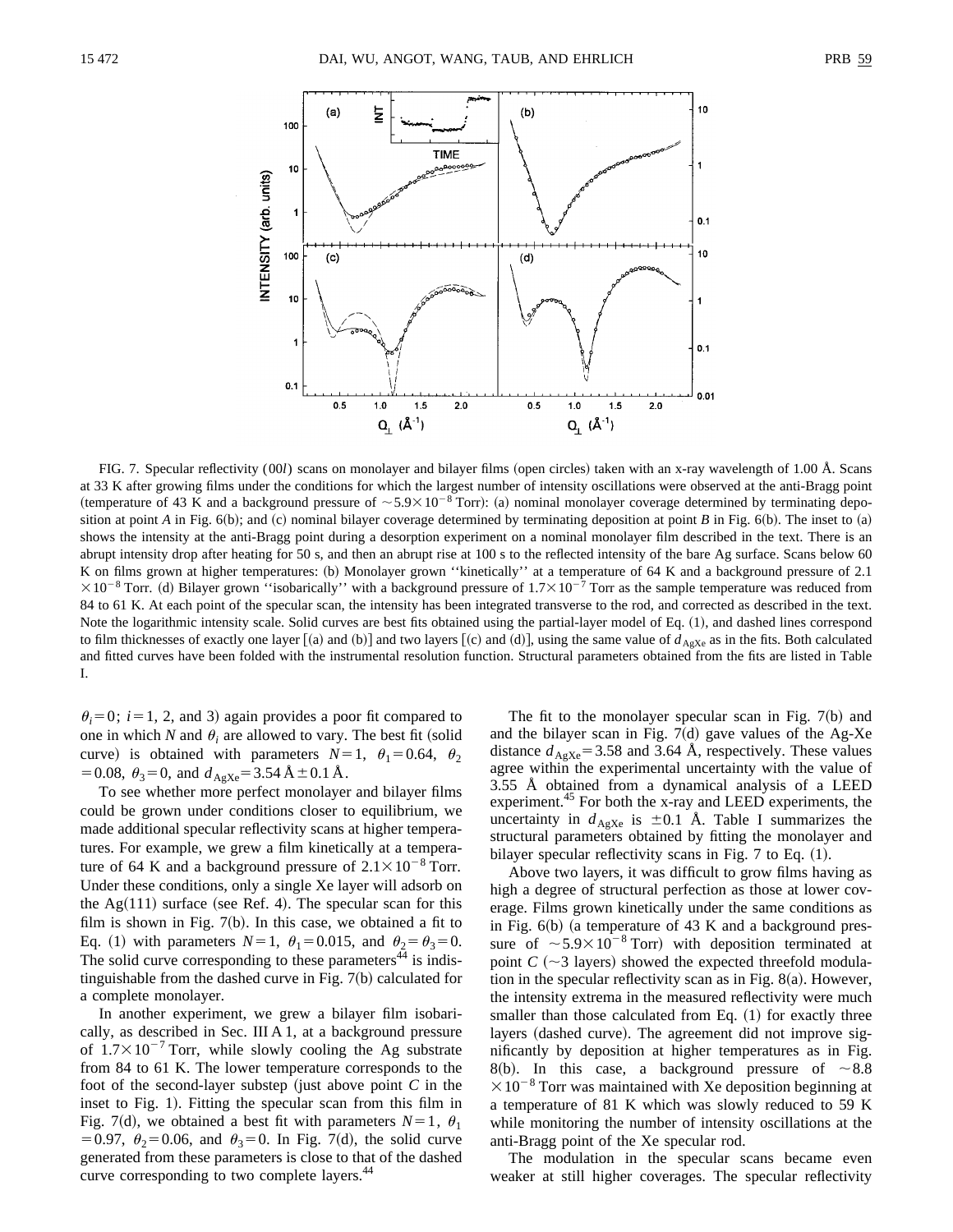

FIG. 7. Specular reflectivity (00*l*) scans on monolayer and bilayer films (open circles) taken with an x-ray wavelength of 1.00 Å. Scans at 33 K after growing films under the conditions for which the largest number of intensity oscillations were observed at the anti-Bragg point (temperature of 43 K and a background pressure of  $\sim 5.9 \times 10^{-8}$  Torr): (a) nominal monolayer coverage determined by terminating deposition at point *A* in Fig.  $6(b)$ ; and (c) nominal bilayer coverage determined by terminating deposition at point *B* in Fig.  $6(b)$ . The inset to (a) shows the intensity at the anti-Bragg point during a desorption experiment on a nominal monolayer film described in the text. There is an abrupt intensity drop after heating for 50 s, and then an abrupt rise at 100 s to the reflected intensity of the bare Ag surface. Scans below 60 K on films grown at higher temperatures: (b) Monolayer grown "kinetically" at a temperature of 64 K and a background pressure of 2.1  $\times$ 10<sup>-8</sup> Torr. (d) Bilayer grown "isobarically" with a background pressure of 1.7 $\times$ 10<sup>-7</sup> Torr as the sample temperature was reduced from 84 to 61 K. At each point of the specular scan, the intensity has been integrated transverse to the rod, and corrected as described in the text. Note the logarithmic intensity scale. Solid curves are best fits obtained using the partial-layer model of Eq. (1), and dashed lines correspond to film thicknesses of exactly one layer  $[(a)$  and  $(b)]$  and two layers  $[(c)$  and  $(d)]$ , using the same value of  $d_{A \& c}$  as in the fits. Both calculated and fitted curves have been folded with the instrumental resolution function. Structural parameters obtained from the fits are listed in Table I.

 $\theta_i=0$ ;  $i=1, 2$ , and 3) again provides a poor fit compared to one in which *N* and  $\theta_i$  are allowed to vary. The best fit (solid curve) is obtained with parameters  $N=1$ ,  $\theta_1=0.64$ ,  $\theta_2$  $= 0.08, \ \theta_3 = 0, \text{ and } d_{AgXe} = 3.54 \text{ Å} \pm 0.1 \text{ Å}.$ 

To see whether more perfect monolayer and bilayer films could be grown under conditions closer to equilibrium, we made additional specular reflectivity scans at higher temperatures. For example, we grew a film kinetically at a temperature of 64 K and a background pressure of  $2.1 \times 10^{-8}$  Torr. Under these conditions, only a single Xe layer will adsorb on the  $Ag(111)$  surface (see Ref. 4). The specular scan for this film is shown in Fig.  $7(b)$ . In this case, we obtained a fit to Eq. (1) with parameters  $N=1$ ,  $\theta_1=0.015$ , and  $\theta_2=\theta_3=0$ . The solid curve corresponding to these parameters<sup>44</sup> is indistinguishable from the dashed curve in Fig.  $7(b)$  calculated for a complete monolayer.

In another experiment, we grew a bilayer film isobarically, as described in Sec. III A 1, at a background pressure of  $1.7 \times 10^{-7}$  Torr, while slowly cooling the Ag substrate from 84 to 61 K. The lower temperature corresponds to the foot of the second-layer substep (just above point  $C$  in the inset to Fig. 1). Fitting the specular scan from this film in Fig. 7(d), we obtained a best fit with parameters  $N=1$ ,  $\theta_1$ = 0.97,  $\theta_2$  = 0.06, and  $\theta_3$  = 0. In Fig. 7(d), the solid curve generated from these parameters is close to that of the dashed curve corresponding to two complete layers.<sup>44</sup>

The fit to the monolayer specular scan in Fig.  $7(b)$  and and the bilayer scan in Fig.  $7(d)$  gave values of the Ag-Xe distance  $d_{\text{AgXe}}$ =3.58 and 3.64 Å, respectively. These values agree within the experimental uncertainty with the value of 3.55 Å obtained from a dynamical analysis of a LEED experiment.<sup>45</sup> For both the x-ray and LEED experiments, the uncertainty in  $d_{\text{AgXe}}$  is  $\pm 0.1$  Å. Table I summarizes the structural parameters obtained by fitting the monolayer and bilayer specular reflectivity scans in Fig.  $7$  to Eq.  $(1)$ .

Above two layers, it was difficult to grow films having as high a degree of structural perfection as those at lower coverage. Films grown kinetically under the same conditions as in Fig.  $6(b)$  (a temperature of 43 K and a background pressure of  $\approx 5.9 \times 10^{-8}$  Torr) with deposition terminated at point  $C$  ( $\sim$ 3 layers) showed the expected threefold modulation in the specular reflectivity scan as in Fig.  $8(a)$ . However, the intensity extrema in the measured reflectivity were much smaller than those calculated from Eq.  $(1)$  for exactly three layers (dashed curve). The agreement did not improve significantly by deposition at higher temperatures as in Fig. 8(b). In this case, a background pressure of  $\sim 8.8$  $\times 10^{-8}$  Torr was maintained with Xe deposition beginning at a temperature of 81 K which was slowly reduced to 59 K while monitoring the number of intensity oscillations at the anti-Bragg point of the Xe specular rod.

The modulation in the specular scans became even weaker at still higher coverages. The specular reflectivity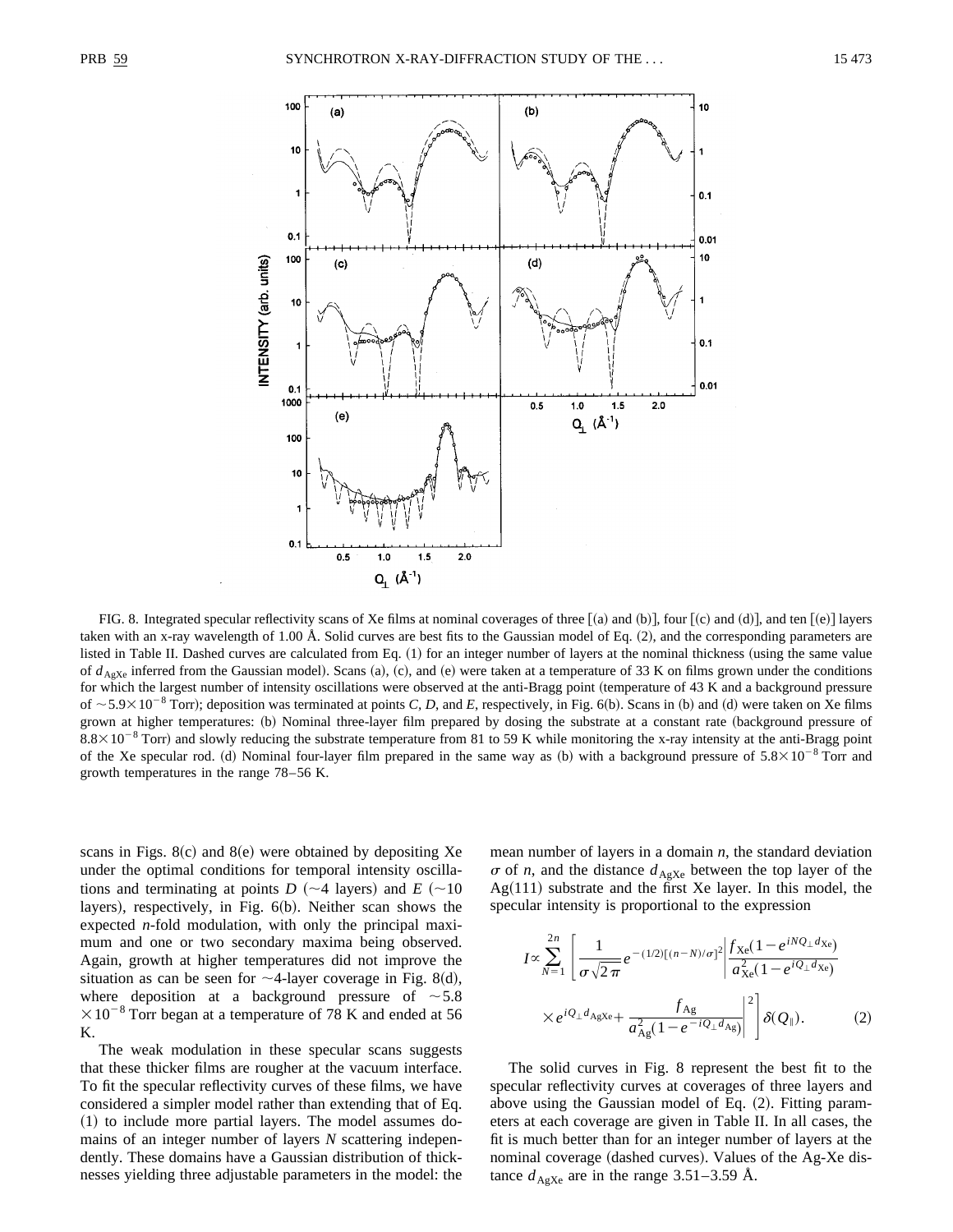

FIG. 8. Integrated specular reflectivity scans of Xe films at nominal coverages of three  $(a)$  and  $(b)$ , four  $(c)$  and  $(d)$ , and ten  $(e)$  layers taken with an x-ray wavelength of  $1.00$  Å. Solid curves are best fits to the Gaussian model of Eq.  $(2)$ , and the corresponding parameters are listed in Table II. Dashed curves are calculated from Eq. (1) for an integer number of layers at the nominal thickness (using the same value of  $d_{A\circ Xe}$  inferred from the Gaussian model). Scans (a), (c), and (e) were taken at a temperature of 33 K on films grown under the conditions for which the largest number of intensity oscillations were observed at the anti-Bragg point (temperature of 43 K and a background pressure of  $\sim$  5.9 $\times$ 10<sup>-8</sup> Torr); deposition was terminated at points *C, D*, and *E*, respectively, in Fig. 6(b). Scans in (b) and (d) were taken on Xe films grown at higher temperatures: (b) Nominal three-layer film prepared by dosing the substrate at a constant rate (background pressure of  $8.8 \times 10^{-8}$  Torr) and slowly reducing the substrate temperature from 81 to 59 K while monitoring the x-ray intensity at the anti-Bragg point of the Xe specular rod. (d) Nominal four-layer film prepared in the same way as (b) with a background pressure of  $5.8\times10^{-8}$  Torr and growth temperatures in the range 78–56 K.

scans in Figs.  $8(c)$  and  $8(e)$  were obtained by depositing Xe under the optimal conditions for temporal intensity oscillations and terminating at points *D*  $(\sim 4$  layers) and *E*  $(\sim 10$ layers), respectively, in Fig.  $6(b)$ . Neither scan shows the expected *n*-fold modulation, with only the principal maximum and one or two secondary maxima being observed. Again, growth at higher temperatures did not improve the situation as can be seen for  $\sim$ 4-layer coverage in Fig. 8(d), where deposition at a background pressure of  $\sim 5.8$  $\times 10^{-8}$  Torr began at a temperature of 78 K and ended at 56 K.

The weak modulation in these specular scans suggests that these thicker films are rougher at the vacuum interface. To fit the specular reflectivity curves of these films, we have considered a simpler model rather than extending that of Eq.  $(1)$  to include more partial layers. The model assumes domains of an integer number of layers *N* scattering independently. These domains have a Gaussian distribution of thicknesses yielding three adjustable parameters in the model: the mean number of layers in a domain *n*, the standard deviation  $\sigma$  of *n*, and the distance  $d_{\text{AgXe}}$  between the top layer of the Ag $(111)$  substrate and the first Xe layer. In this model, the specular intensity is proportional to the expression

$$
I \propto \sum_{N=1}^{2n} \left[ \frac{1}{\sigma \sqrt{2\pi}} e^{-(1/2)[(n-N)/\sigma]^2} \left| \frac{f_{\text{Xe}} (1 - e^{iNQ_{\perp} d_{\text{Xe}}})}{a_{\text{Xe}}^2 (1 - e^{iQ_{\perp} d_{\text{Xe}}})} \right|
$$
  
 
$$
\times e^{iQ_{\perp} d_{\text{AgXe}}} + \frac{f_{\text{Ag}}}{a_{\text{Ag}}^2 (1 - e^{-iQ_{\perp} d_{\text{Ag}}})} \right]^2 \left[ \delta(Q_{\parallel}). \right]
$$
 (2)

The solid curves in Fig. 8 represent the best fit to the specular reflectivity curves at coverages of three layers and above using the Gaussian model of Eq.  $(2)$ . Fitting parameters at each coverage are given in Table II. In all cases, the fit is much better than for an integer number of layers at the nominal coverage (dashed curves). Values of the Ag-Xe distance  $d_{\text{AgXe}}$  are in the range 3.51–3.59 Å.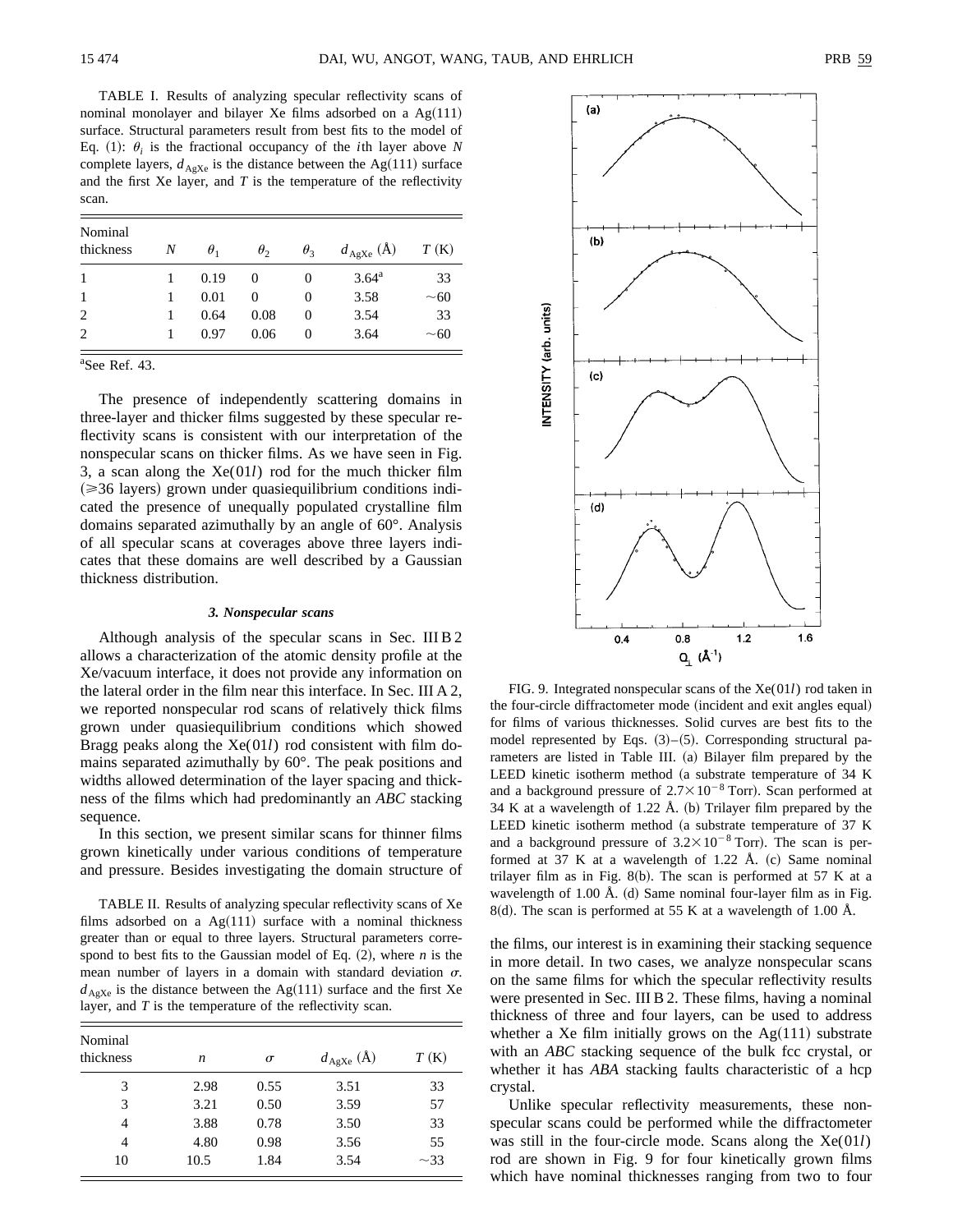TABLE I. Results of analyzing specular reflectivity scans of nominal monolayer and bilayer Xe films adsorbed on a  $Ag(111)$ surface. Structural parameters result from best fits to the model of Eq. (1):  $\theta_i$  is the fractional occupancy of the *i*th layer above *N* complete layers,  $d_{\text{AgXe}}$  is the distance between the Ag(111) surface and the first Xe layer, and  $T$  is the temperature of the reflectivity scan.

| Nominal<br>thickness | N | $\theta_1$ | $\theta_2$ | $\theta_3$ | $d_{\text{AgXe}}(\text{\AA})$ | T(K)     |
|----------------------|---|------------|------------|------------|-------------------------------|----------|
| 1                    |   | 0.19       | $\theta$   | $\theta$   | $3.64^{\rm a}$                | 33       |
| -1                   |   | 0.01       | 0          | $\theta$   | 3.58                          | $~1$ –60 |
| $\overline{2}$       |   | 0.64       | 0.08       | 0          | 3.54                          | 33       |
| $\overline{2}$       |   | 0.97       | 0.06       | 0          | 3.64                          | $~1$ –60 |

a See Ref. 43.

The presence of independently scattering domains in three-layer and thicker films suggested by these specular reflectivity scans is consistent with our interpretation of the nonspecular scans on thicker films. As we have seen in Fig. 3, a scan along the Xe(01*l*) rod for the much thicker film  $(\geq 36$  layers) grown under quasiequilibrium conditions indicated the presence of unequally populated crystalline film domains separated azimuthally by an angle of 60°. Analysis of all specular scans at coverages above three layers indicates that these domains are well described by a Gaussian thickness distribution.

#### *3. Nonspecular scans*

Although analysis of the specular scans in Sec. III B 2 allows a characterization of the atomic density profile at the Xe/vacuum interface, it does not provide any information on the lateral order in the film near this interface. In Sec. III A 2, we reported nonspecular rod scans of relatively thick films grown under quasiequilibrium conditions which showed Bragg peaks along the Xe(01*l*) rod consistent with film domains separated azimuthally by 60°. The peak positions and widths allowed determination of the layer spacing and thickness of the films which had predominantly an *ABC* stacking sequence.

In this section, we present similar scans for thinner films grown kinetically under various conditions of temperature and pressure. Besides investigating the domain structure of

TABLE II. Results of analyzing specular reflectivity scans of Xe films adsorbed on a  $Ag(111)$  surface with a nominal thickness greater than or equal to three layers. Structural parameters correspond to best fits to the Gaussian model of Eq.  $(2)$ , where *n* is the mean number of layers in a domain with standard deviation  $\sigma$ .  $d_{A\phi Xe}$  is the distance between the Ag(111) surface and the first Xe layer, and *T* is the temperature of the reflectivity scan.

| Nominal<br>thickness | n    | $\sigma$ | $d_{\text{AgXe}}(\text{\AA})$ | T(K)      |
|----------------------|------|----------|-------------------------------|-----------|
| 3                    | 2.98 | 0.55     | 3.51                          | 33        |
| 3                    | 3.21 | 0.50     | 3.59                          | 57        |
| 4                    | 3.88 | 0.78     | 3.50                          | 33        |
| 4                    | 4.80 | 0.98     | 3.56                          | 55        |
| 10                   | 10.5 | 1.84     | 3.54                          | $\sim$ 33 |



FIG. 9. Integrated nonspecular scans of the Xe(01*l*) rod taken in the four-circle diffractometer mode (incident and exit angles equal) for films of various thicknesses. Solid curves are best fits to the model represented by Eqs.  $(3)$ – $(5)$ . Corresponding structural parameters are listed in Table III. (a) Bilayer film prepared by the LEED kinetic isotherm method (a substrate temperature of  $34$  K and a background pressure of  $2.7\times10^{-8}$  Torr). Scan performed at 34 K at a wavelength of 1.22 Å. (b) Trilayer film prepared by the LEED kinetic isotherm method (a substrate temperature of  $37$  K and a background pressure of  $3.2 \times 10^{-8}$  Torr). The scan is performed at 37 K at a wavelength of 1.22 Å.  $(c)$  Same nominal trilayer film as in Fig. 8(b). The scan is performed at 57 K at a wavelength of 1.00 Å. (d) Same nominal four-layer film as in Fig. 8 $(d)$ . The scan is performed at 55 K at a wavelength of 1.00 Å.

the films, our interest is in examining their stacking sequence in more detail. In two cases, we analyze nonspecular scans on the same films for which the specular reflectivity results were presented in Sec. III B 2. These films, having a nominal thickness of three and four layers, can be used to address whether a Xe film initially grows on the  $Ag(111)$  substrate with an *ABC* stacking sequence of the bulk fcc crystal, or whether it has *ABA* stacking faults characteristic of a hcp crystal.

Unlike specular reflectivity measurements, these nonspecular scans could be performed while the diffractometer was still in the four-circle mode. Scans along the Xe(01*l*) rod are shown in Fig. 9 for four kinetically grown films which have nominal thicknesses ranging from two to four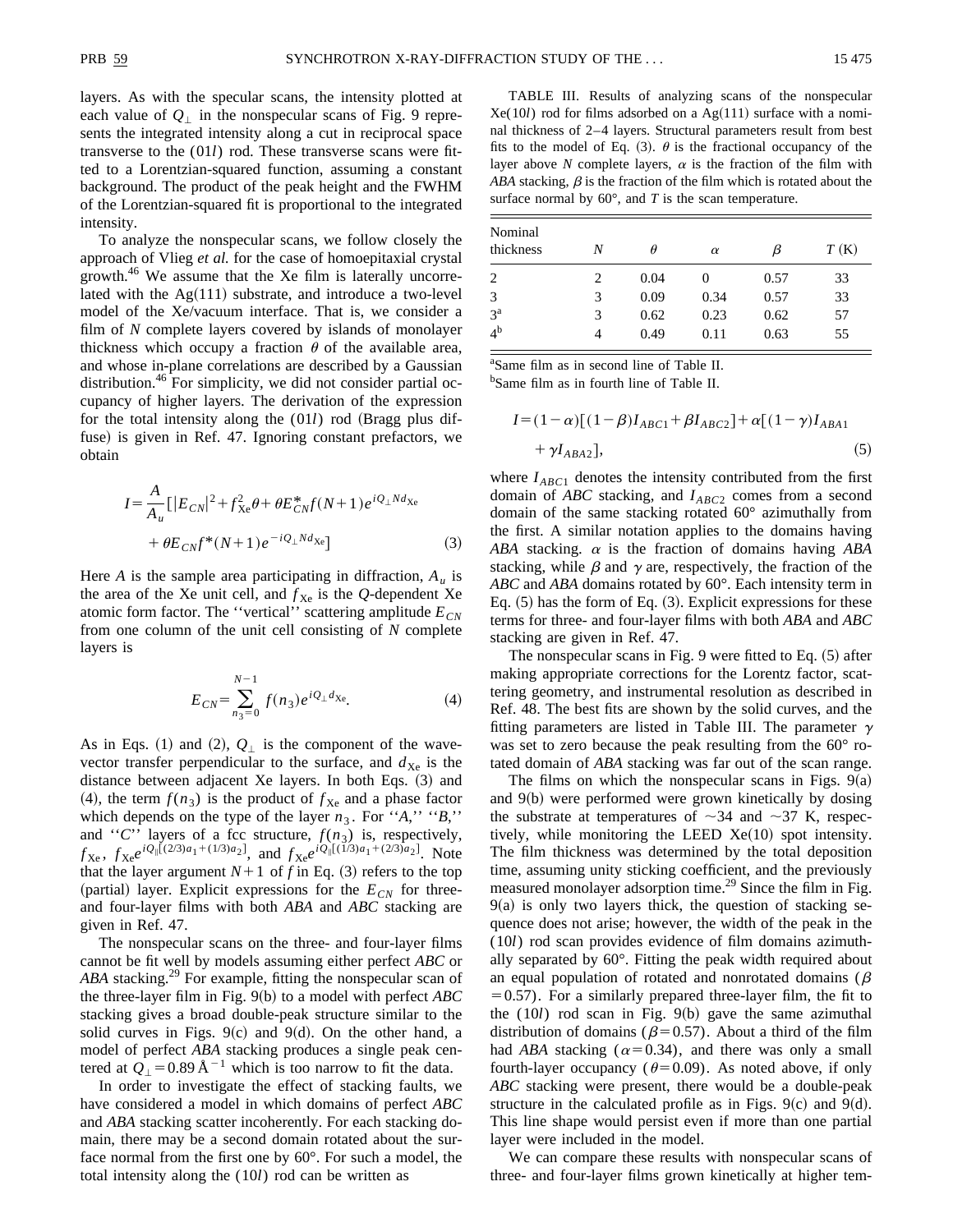layers. As with the specular scans, the intensity plotted at each value of  $Q_{\perp}$  in the nonspecular scans of Fig. 9 represents the integrated intensity along a cut in reciprocal space transverse to the (01*l*) rod. These transverse scans were fitted to a Lorentzian-squared function, assuming a constant background. The product of the peak height and the FWHM of the Lorentzian-squared fit is proportional to the integrated intensity.

To analyze the nonspecular scans, we follow closely the approach of Vlieg *et al.* for the case of homoepitaxial crystal growth.46 We assume that the Xe film is laterally uncorrelated with the  $Ag(111)$  substrate, and introduce a two-level model of the Xe/vacuum interface. That is, we consider a film of *N* complete layers covered by islands of monolayer thickness which occupy a fraction  $\theta$  of the available area, and whose in-plane correlations are described by a Gaussian distribution.<sup>46</sup> For simplicity, we did not consider partial occupancy of higher layers. The derivation of the expression for the total intensity along the  $(01l)$  rod  $(Bragg)$  plus diffuse) is given in Ref. 47. Ignoring constant prefactors, we obtain

$$
I = \frac{A}{A_u} [ |E_{CN}|^2 + f_{Xe}^2 \theta + \theta E_{CN}^* f(N+1) e^{iQ_{\perp} N d_{Xe}} + \theta E_{CN} f^*(N+1) e^{-iQ_{\perp} N d_{Xe}} ]
$$
(3)

Here *A* is the sample area participating in diffraction,  $A_u$  is the area of the Xe unit cell, and  $f_{Xe}$  is the *Q*-dependent Xe atomic form factor. The "vertical" scattering amplitude  $E_{CN}$ from one column of the unit cell consisting of *N* complete layers is

$$
E_{CN} = \sum_{n_3=0}^{N-1} f(n_3) e^{iQ_{\perp} d_{\text{Xe}}}.
$$
 (4)

As in Eqs. (1) and (2),  $Q_{\perp}$  is the component of the wavevector transfer perpendicular to the surface, and  $d_{Xe}$  is the distance between adjacent Xe layers. In both Eqs.  $(3)$  and (4), the term  $f(n_3)$  is the product of  $f_{Xe}$  and a phase factor which depends on the type of the layer  $n_3$ . For "*A*," "*B*," and "*C*" layers of a fcc structure,  $f(n_3)$  is, respectively,  $f_{\text{Xe}}$ ,  $f_{\text{Xe}}e^{iQ_{\parallel}[(2/3)a_1 + (1/3)a_2]}$ , and  $f_{\text{Xe}}e^{iQ_{\parallel}[(1/3)a_1 + (2/3)a_2]}$ . Note that the layer argument  $N+1$  of  $f$  in Eq. (3) refers to the top (partial) layer. Explicit expressions for the  $E_{CN}$  for threeand four-layer films with both *ABA* and *ABC* stacking are given in Ref. 47.

The nonspecular scans on the three- and four-layer films cannot be fit well by models assuming either perfect *ABC* or ABA stacking.<sup>29</sup> For example, fitting the nonspecular scan of the three-layer film in Fig. 9(b) to a model with perfect *ABC* stacking gives a broad double-peak structure similar to the solid curves in Figs.  $9(c)$  and  $9(d)$ . On the other hand, a model of perfect *ABA* stacking produces a single peak centered at  $Q_{\perp}$  = 0.89 Å<sup>-1</sup> which is too narrow to fit the data.

In order to investigate the effect of stacking faults, we have considered a model in which domains of perfect *ABC* and *ABA* stacking scatter incoherently. For each stacking domain, there may be a second domain rotated about the surface normal from the first one by 60°. For such a model, the total intensity along the (10*l*) rod can be written as

TABLE III. Results of analyzing scans of the nonspecular  $Xe(10l)$  rod for films adsorbed on a  $Ag(111)$  surface with a nominal thickness of 2–4 layers. Structural parameters result from best fits to the model of Eq. (3).  $\theta$  is the fractional occupancy of the layer above *N* complete layers,  $\alpha$  is the fraction of the film with *ABA* stacking,  $\beta$  is the fraction of the film which is rotated about the surface normal by  $60^\circ$ , and *T* is the scan temperature.

| Nominal<br>thickness | N | $\theta$ | $\alpha$ | β    | T(K) |
|----------------------|---|----------|----------|------|------|
| 2                    | 2 | 0.04     | 0        | 0.57 | 33   |
| 3                    | 3 | 0.09     | 0.34     | 0.57 | 33   |
| $3^{\rm a}$          | 3 | 0.62     | 0.23     | 0.62 | 57   |
| 4 <sup>b</sup>       |   | 0.49     | 0.11     | 0.63 | 55   |

a Same film as in second line of Table II.

b Same film as in fourth line of Table II.

$$
I = (1 - \alpha)[(1 - \beta)I_{ABC1} + \beta I_{ABC2}] + \alpha[(1 - \gamma)I_{ABA1} + \gamma I_{ABA2}],
$$
\n(5)

where  $I_{ABC1}$  denotes the intensity contributed from the first domain of *ABC* stacking, and  $I_{ABC2}$  comes from a second domain of the same stacking rotated 60° azimuthally from the first. A similar notation applies to the domains having *ABA* stacking.  $\alpha$  is the fraction of domains having *ABA* stacking, while  $\beta$  and  $\gamma$  are, respectively, the fraction of the *ABC* and *ABA* domains rotated by 60°. Each intensity term in Eq.  $(5)$  has the form of Eq.  $(3)$ . Explicit expressions for these terms for three- and four-layer films with both *ABA* and *ABC* stacking are given in Ref. 47.

The nonspecular scans in Fig.  $9$  were fitted to Eq.  $(5)$  after making appropriate corrections for the Lorentz factor, scattering geometry, and instrumental resolution as described in Ref. 48. The best fits are shown by the solid curves, and the fitting parameters are listed in Table III. The parameter  $\gamma$ was set to zero because the peak resulting from the  $60^{\circ}$  rotated domain of *ABA* stacking was far out of the scan range.

The films on which the nonspecular scans in Figs.  $9(a)$ and  $9(b)$  were performed were grown kinetically by dosing the substrate at temperatures of  $\sim$ 34 and  $\sim$ 37 K, respectively, while monitoring the LEED  $Xe(10)$  spot intensity. The film thickness was determined by the total deposition time, assuming unity sticking coefficient, and the previously measured monolayer adsorption time.<sup>29</sup> Since the film in Fig.  $9(a)$  is only two layers thick, the question of stacking sequence does not arise; however, the width of the peak in the (10*l*) rod scan provides evidence of film domains azimuthally separated by 60°. Fitting the peak width required about an equal population of rotated and nonrotated domains ( $\beta$ )  $=0.57$ ). For a similarly prepared three-layer film, the fit to the  $(10l)$  rod scan in Fig.  $9(b)$  gave the same azimuthal distribution of domains ( $\beta$ =0.57). About a third of the film had *ABA* stacking ( $\alpha$ =0.34), and there was only a small fourth-layer occupancy ( $\theta$ =0.09). As noted above, if only *ABC* stacking were present, there would be a double-peak structure in the calculated profile as in Figs.  $9(c)$  and  $9(d)$ . This line shape would persist even if more than one partial layer were included in the model.

We can compare these results with nonspecular scans of three- and four-layer films grown kinetically at higher tem-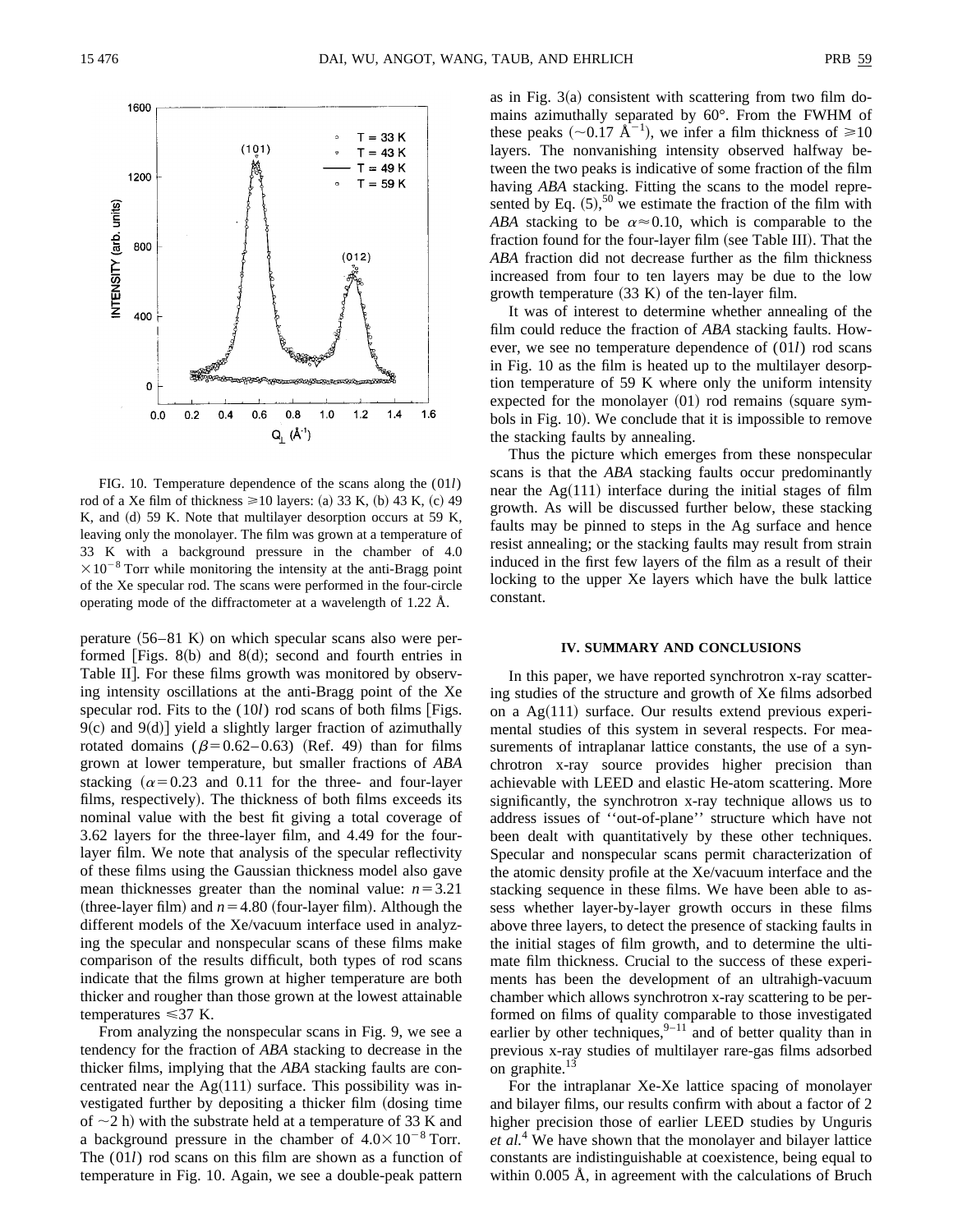

FIG. 10. Temperature dependence of the scans along the (01*l*) rod of a Xe film of thickness  $\geq 10$  layers: (a) 33 K, (b) 43 K, (c) 49 K, and  $(d)$  59 K. Note that multilayer desorption occurs at 59 K, leaving only the monolayer. The film was grown at a temperature of 33 K with a background pressure in the chamber of 4.0  $\times 10^{-8}$  Torr while monitoring the intensity at the anti-Bragg point of the Xe specular rod. The scans were performed in the four-circle operating mode of the diffractometer at a wavelength of 1.22 Å.

perature  $(56–81 \text{ K})$  on which specular scans also were performed [Figs. 8(b) and 8(d); second and fourth entries in Table II]. For these films growth was monitored by observing intensity oscillations at the anti-Bragg point of the Xe specular rod. Fits to the  $(10l)$  rod scans of both films [Figs.  $9(c)$  and  $9(d)$ ] yield a slightly larger fraction of azimuthally rotated domains  $(\beta=0.62-0.63)$  (Ref. 49) than for films grown at lower temperature, but smaller fractions of *ABA* stacking  $(\alpha=0.23$  and 0.11 for the three- and four-layer films, respectively). The thickness of both films exceeds its nominal value with the best fit giving a total coverage of 3.62 layers for the three-layer film, and 4.49 for the fourlayer film. We note that analysis of the specular reflectivity of these films using the Gaussian thickness model also gave mean thicknesses greater than the nominal value:  $n=3.21$ (three-layer film) and  $n=4.80$  (four-layer film). Although the different models of the Xe/vacuum interface used in analyzing the specular and nonspecular scans of these films make comparison of the results difficult, both types of rod scans indicate that the films grown at higher temperature are both thicker and rougher than those grown at the lowest attainable temperatures  $\leq 37$  K.

From analyzing the nonspecular scans in Fig. 9, we see a tendency for the fraction of *ABA* stacking to decrease in the thicker films, implying that the *ABA* stacking faults are concentrated near the  $Ag(111)$  surface. This possibility was investigated further by depositing a thicker film (dosing time of  $\sim$ 2 h) with the substrate held at a temperature of 33 K and a background pressure in the chamber of  $4.0\times10^{-8}$  Torr. The (01*l*) rod scans on this film are shown as a function of temperature in Fig. 10. Again, we see a double-peak pattern as in Fig.  $3(a)$  consistent with scattering from two film domains azimuthally separated by 60°. From the FWHM of these peaks ( $\sim$ 0.17 Å<sup>-1</sup>), we infer a film thickness of  $\geq 10$ layers. The nonvanishing intensity observed halfway between the two peaks is indicative of some fraction of the film having *ABA* stacking. Fitting the scans to the model represented by Eq.  $(5)$ ,<sup>50</sup> we estimate the fraction of the film with *ABA* stacking to be  $\alpha \approx 0.10$ , which is comparable to the fraction found for the four-layer film (see Table III). That the *ABA* fraction did not decrease further as the film thickness increased from four to ten layers may be due to the low growth temperature  $(33 \text{ K})$  of the ten-layer film.

It was of interest to determine whether annealing of the film could reduce the fraction of *ABA* stacking faults. However, we see no temperature dependence of (01*l*) rod scans in Fig. 10 as the film is heated up to the multilayer desorption temperature of 59 K where only the uniform intensity expected for the monolayer  $(01)$  rod remains (square symbols in Fig. 10). We conclude that it is impossible to remove the stacking faults by annealing.

Thus the picture which emerges from these nonspecular scans is that the *ABA* stacking faults occur predominantly near the  $Ag(111)$  interface during the initial stages of film growth. As will be discussed further below, these stacking faults may be pinned to steps in the Ag surface and hence resist annealing; or the stacking faults may result from strain induced in the first few layers of the film as a result of their locking to the upper Xe layers which have the bulk lattice constant.

#### **IV. SUMMARY AND CONCLUSIONS**

In this paper, we have reported synchrotron x-ray scattering studies of the structure and growth of Xe films adsorbed on a  $Ag(111)$  surface. Our results extend previous experimental studies of this system in several respects. For measurements of intraplanar lattice constants, the use of a synchrotron x-ray source provides higher precision than achievable with LEED and elastic He-atom scattering. More significantly, the synchrotron x-ray technique allows us to address issues of ''out-of-plane'' structure which have not been dealt with quantitatively by these other techniques. Specular and nonspecular scans permit characterization of the atomic density profile at the Xe/vacuum interface and the stacking sequence in these films. We have been able to assess whether layer-by-layer growth occurs in these films above three layers, to detect the presence of stacking faults in the initial stages of film growth, and to determine the ultimate film thickness. Crucial to the success of these experiments has been the development of an ultrahigh-vacuum chamber which allows synchrotron x-ray scattering to be performed on films of quality comparable to those investigated earlier by other techniques,  $9-11$  and of better quality than in previous x-ray studies of multilayer rare-gas films adsorbed on graphite.<sup>13</sup>

For the intraplanar Xe-Xe lattice spacing of monolayer and bilayer films, our results confirm with about a factor of 2 higher precision those of earlier LEED studies by Unguris *et al.*<sup>4</sup> We have shown that the monolayer and bilayer lattice constants are indistinguishable at coexistence, being equal to within 0.005 Å, in agreement with the calculations of Bruch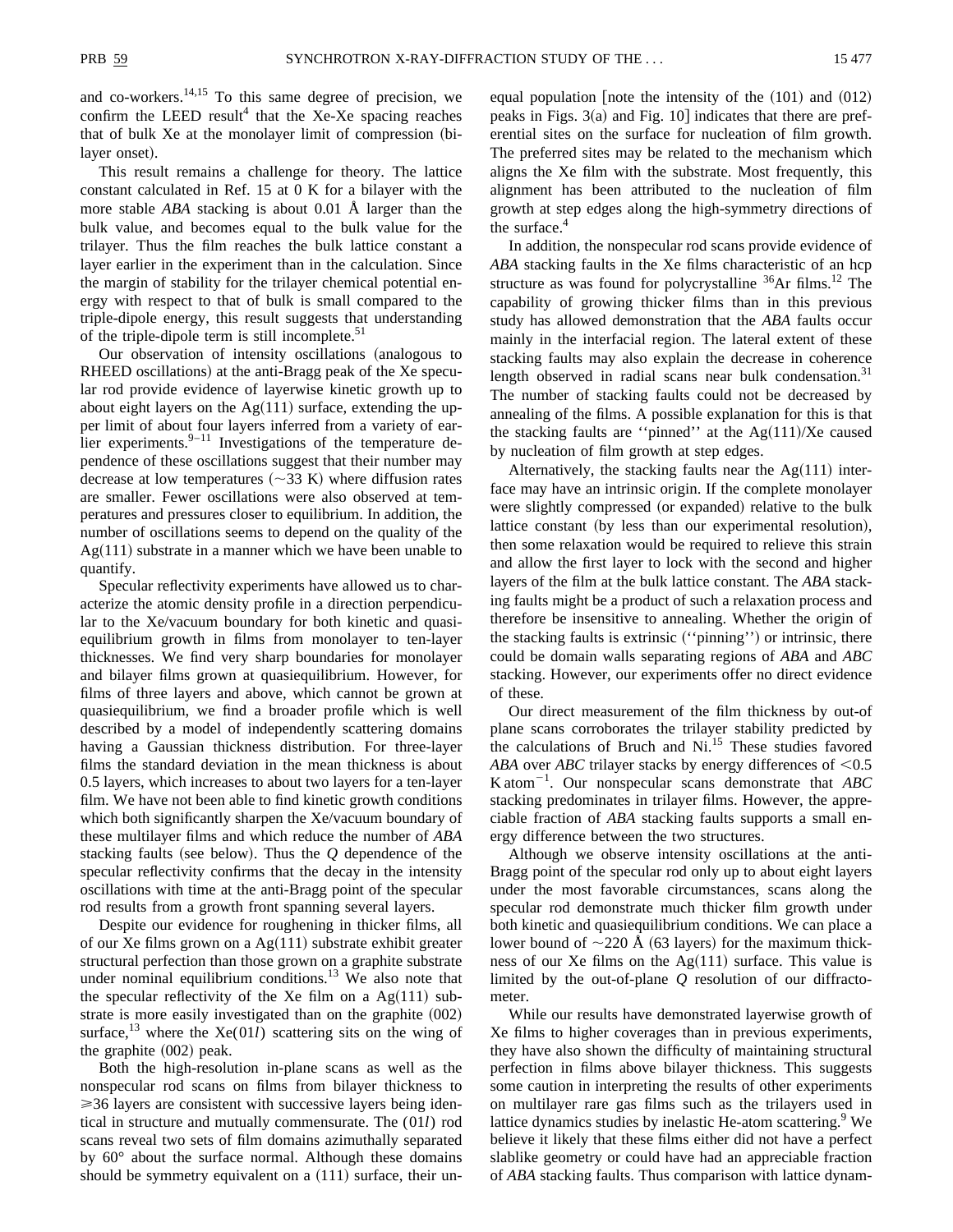and co-workers. $14,15$  To this same degree of precision, we confirm the LEED result<sup>4</sup> that the Xe-Xe spacing reaches that of bulk Xe at the monolayer limit of compression (bilayer onset).

This result remains a challenge for theory. The lattice constant calculated in Ref. 15 at 0 K for a bilayer with the more stable *ABA* stacking is about 0.01 Å larger than the bulk value, and becomes equal to the bulk value for the trilayer. Thus the film reaches the bulk lattice constant a layer earlier in the experiment than in the calculation. Since the margin of stability for the trilayer chemical potential energy with respect to that of bulk is small compared to the triple-dipole energy, this result suggests that understanding of the triple-dipole term is still incomplete.<sup>51</sup>

Our observation of intensity oscillations (analogous to RHEED oscillations) at the anti-Bragg peak of the Xe specular rod provide evidence of layerwise kinetic growth up to about eight layers on the  $Ag(111)$  surface, extending the upper limit of about four layers inferred from a variety of earlier experiments. $9-11$  Investigations of the temperature dependence of these oscillations suggest that their number may decrease at low temperatures  $(\sim 33 \text{ K})$  where diffusion rates are smaller. Fewer oscillations were also observed at temperatures and pressures closer to equilibrium. In addition, the number of oscillations seems to depend on the quality of the  $Ag(111)$  substrate in a manner which we have been unable to quantify.

Specular reflectivity experiments have allowed us to characterize the atomic density profile in a direction perpendicular to the Xe/vacuum boundary for both kinetic and quasiequilibrium growth in films from monolayer to ten-layer thicknesses. We find very sharp boundaries for monolayer and bilayer films grown at quasiequilibrium. However, for films of three layers and above, which cannot be grown at quasiequilibrium, we find a broader profile which is well described by a model of independently scattering domains having a Gaussian thickness distribution. For three-layer films the standard deviation in the mean thickness is about 0.5 layers, which increases to about two layers for a ten-layer film. We have not been able to find kinetic growth conditions which both significantly sharpen the Xe/vacuum boundary of these multilayer films and which reduce the number of *ABA* stacking faults (see below). Thus the  $Q$  dependence of the specular reflectivity confirms that the decay in the intensity oscillations with time at the anti-Bragg point of the specular rod results from a growth front spanning several layers.

Despite our evidence for roughening in thicker films, all of our Xe films grown on a  $Ag(111)$  substrate exhibit greater structural perfection than those grown on a graphite substrate under nominal equilibrium conditions.<sup>13</sup> We also note that the specular reflectivity of the Xe film on a  $Ag(111)$  substrate is more easily investigated than on the graphite  $(002)$ surface,<sup>13</sup> where the  $Xe(01l)$  scattering sits on the wing of the graphite  $(002)$  peak.

Both the high-resolution in-plane scans as well as the nonspecular rod scans on films from bilayer thickness to  $\geq$ 36 layers are consistent with successive layers being identical in structure and mutually commensurate. The (01*l*) rod scans reveal two sets of film domains azimuthally separated by 60° about the surface normal. Although these domains should be symmetry equivalent on a  $(111)$  surface, their unequal population  $|$  note the intensity of the  $(101)$  and  $(012)$ peaks in Figs.  $3(a)$  and Fig. 10] indicates that there are preferential sites on the surface for nucleation of film growth. The preferred sites may be related to the mechanism which aligns the Xe film with the substrate. Most frequently, this alignment has been attributed to the nucleation of film growth at step edges along the high-symmetry directions of the surface. $4$ 

In addition, the nonspecular rod scans provide evidence of *ABA* stacking faults in the Xe films characteristic of an hcp structure as was found for polycrystalline <sup>36</sup>Ar films.<sup>12</sup> The capability of growing thicker films than in this previous study has allowed demonstration that the *ABA* faults occur mainly in the interfacial region. The lateral extent of these stacking faults may also explain the decrease in coherence length observed in radial scans near bulk condensation.<sup>31</sup> The number of stacking faults could not be decreased by annealing of the films. A possible explanation for this is that the stacking faults are "pinned" at the  $Ag(111)/Xe$  caused by nucleation of film growth at step edges.

Alternatively, the stacking faults near the  $Ag(111)$  interface may have an intrinsic origin. If the complete monolayer were slightly compressed (or expanded) relative to the bulk lattice constant (by less than our experimental resolution), then some relaxation would be required to relieve this strain and allow the first layer to lock with the second and higher layers of the film at the bulk lattice constant. The *ABA* stacking faults might be a product of such a relaxation process and therefore be insensitive to annealing. Whether the origin of the stacking faults is extrinsic  $('pinning')$  or intrinsic, there could be domain walls separating regions of *ABA* and *ABC* stacking. However, our experiments offer no direct evidence of these.

Our direct measurement of the film thickness by out-of plane scans corroborates the trilayer stability predicted by the calculations of Bruch and Ni.<sup>15</sup> These studies favored *ABA* over *ABC* trilayer stacks by energy differences of  $\leq 0.5$ K atom2<sup>1</sup> . Our nonspecular scans demonstrate that *ABC* stacking predominates in trilayer films. However, the appreciable fraction of *ABA* stacking faults supports a small energy difference between the two structures.

Although we observe intensity oscillations at the anti-Bragg point of the specular rod only up to about eight layers under the most favorable circumstances, scans along the specular rod demonstrate much thicker film growth under both kinetic and quasiequilibrium conditions. We can place a lower bound of  $\sim$ 220 Å (63 layers) for the maximum thickness of our Xe films on the  $Ag(111)$  surface. This value is limited by the out-of-plane *Q* resolution of our diffractometer.

While our results have demonstrated layerwise growth of Xe films to higher coverages than in previous experiments, they have also shown the difficulty of maintaining structural perfection in films above bilayer thickness. This suggests some caution in interpreting the results of other experiments on multilayer rare gas films such as the trilayers used in lattice dynamics studies by inelastic He-atom scattering.<sup>9</sup> We believe it likely that these films either did not have a perfect slablike geometry or could have had an appreciable fraction of *ABA* stacking faults. Thus comparison with lattice dynam-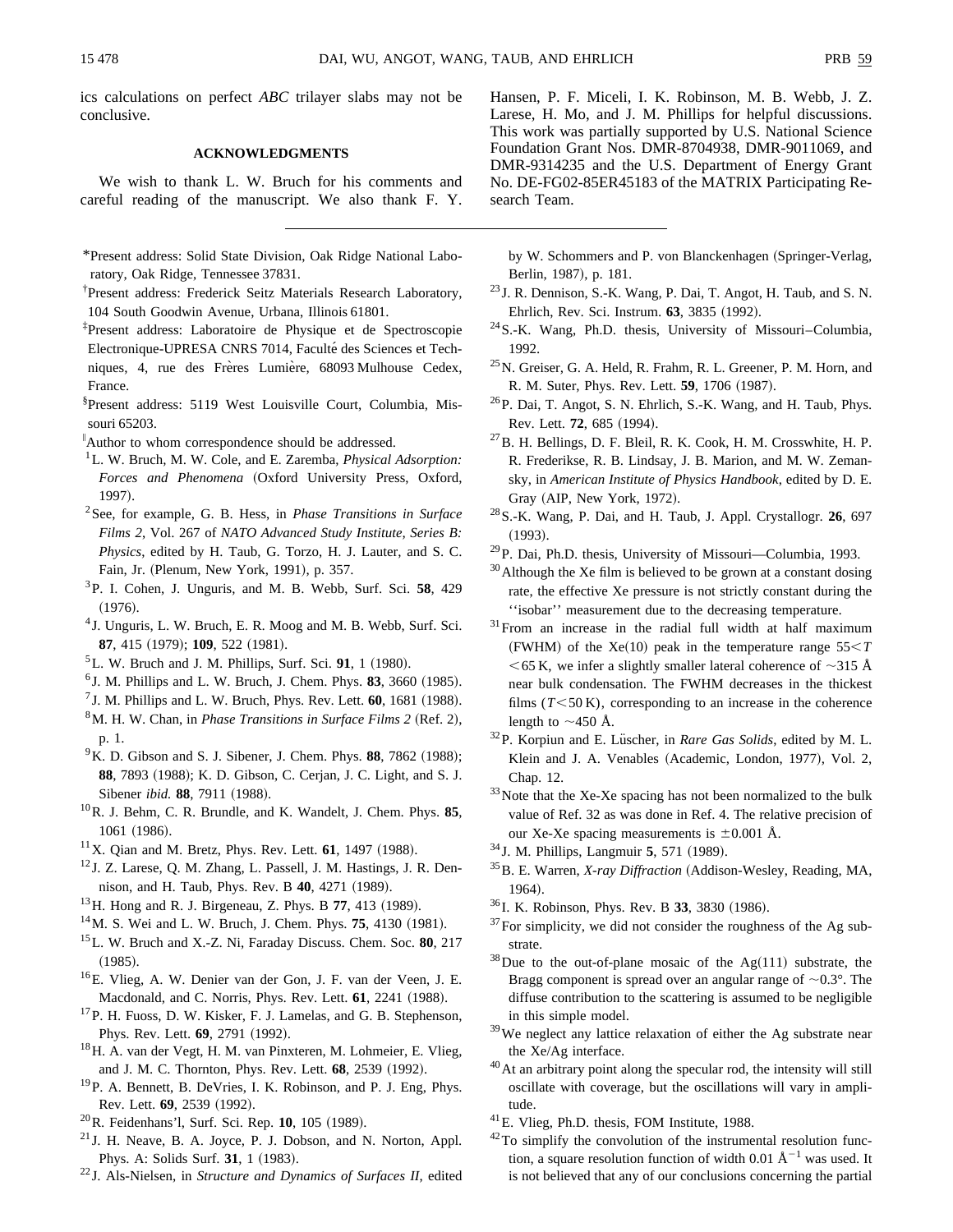## **ACKNOWLEDGMENTS**

We wish to thank L. W. Bruch for his comments and careful reading of the manuscript. We also thank F. Y.

- \*Present address: Solid State Division, Oak Ridge National Laboratory, Oak Ridge, Tennessee 37831.
- † Present address: Frederick Seitz Materials Research Laboratory, 104 South Goodwin Avenue, Urbana, Illinois 61801.
- ‡ Present address: Laboratoire de Physique et de Spectroscopie Electronique-UPRESA CNRS 7014, Faculté des Sciences et Techniques, 4, rue des Frères Lumière, 68093 Mulhouse Cedex, France.
- § Present address: 5119 West Louisville Court, Columbia, Missouri 65203.
- Author to whom correspondence should be addressed.
- 1L. W. Bruch, M. W. Cole, and E. Zaremba, *Physical Adsorption:* Forces and Phenomena (Oxford University Press, Oxford, 1997).
- 2See, for example, G. B. Hess, in *Phase Transitions in Surface Films 2*, Vol. 267 of *NATO Advanced Study Institute, Series B: Physics*, edited by H. Taub, G. Torzo, H. J. Lauter, and S. C. Fain, Jr. (Plenum, New York, 1991), p. 357.
- 3P. I. Cohen, J. Unguris, and M. B. Webb, Surf. Sci. **58**, 429  $(1976).$
- <sup>4</sup> J. Unguris, L. W. Bruch, E. R. Moog and M. B. Webb, Surf. Sci. **87**, 415 (1979); **109**, 522 (1981).
- ${}^5$ L. W. Bruch and J. M. Phillips, Surf. Sci. 91, 1 (1980).
- $^{6}$  J. M. Phillips and L. W. Bruch, J. Chem. Phys. **83**, 3660 (1985).
- $<sup>7</sup>$  J. M. Phillips and L. W. Bruch, Phys. Rev. Lett.  $60$ , 1681 (1988).</sup>
- $8<sup>8</sup>M$ . H. W. Chan, in *Phase Transitions in Surface Films 2* (Ref. 2), p. 1.
- $^{9}$ K. D. Gibson and S. J. Sibener, J. Chem. Phys. **88**, 7862 (1988); **88**, 7893 (1988); K. D. Gibson, C. Cerjan, J. C. Light, and S. J. Sibener *ibid.* 88, 7911 (1988).
- 10R. J. Behm, C. R. Brundle, and K. Wandelt, J. Chem. Phys. **85**, 1061 (1986).
- $11$ X. Qian and M. Bretz, Phys. Rev. Lett.  $61$ , 1497 (1988).
- $12$  J. Z. Larese, Q. M. Zhang, L. Passell, J. M. Hastings, J. R. Dennison, and H. Taub, Phys. Rev. B 40, 4271 (1989).
- <sup>13</sup>H. Hong and R. J. Birgeneau, Z. Phys. B 77, 413 (1989).
- $14$ M. S. Wei and L. W. Bruch, J. Chem. Phys. **75**, 4130 (1981).
- 15L. W. Bruch and X.-Z. Ni, Faraday Discuss. Chem. Soc. **80**, 217  $(1985).$
- 16E. Vlieg, A. W. Denier van der Gon, J. F. van der Veen, J. E. Macdonald, and C. Norris, Phys. Rev. Lett. **61**, 2241 (1988).
- $17P$ . H. Fuoss, D. W. Kisker, F. J. Lamelas, and G. B. Stephenson, Phys. Rev. Lett. **69**, 2791 (1992).
- <sup>18</sup>H. A. van der Vegt, H. M. van Pinxteren, M. Lohmeier, E. Vlieg, and J. M. C. Thornton, Phys. Rev. Lett. **68**, 2539 (1992).
- <sup>19</sup>P. A. Bennett, B. DeVries, I. K. Robinson, and P. J. Eng, Phys. Rev. Lett. **69**, 2539 (1992).
- <sup>20</sup>R. Feidenhans'l, Surf. Sci. Rep. **10**, 105 (1989).
- $21$  J. H. Neave, B. A. Joyce, P. J. Dobson, and N. Norton, Appl. Phys. A: Solids Surf. **31**, 1 (1983).
- <sup>22</sup> J. Als-Nielsen, in *Structure and Dynamics of Surfaces II*, edited

Hansen, P. F. Miceli, I. K. Robinson, M. B. Webb, J. Z. Larese, H. Mo, and J. M. Phillips for helpful discussions. This work was partially supported by U.S. National Science Foundation Grant Nos. DMR-8704938, DMR-9011069, and DMR-9314235 and the U.S. Department of Energy Grant No. DE-FG02-85ER45183 of the MATRIX Participating Research Team.

by W. Schommers and P. von Blanckenhagen (Springer-Verlag, Berlin, 1987), p. 181.

- $^{23}$  J. R. Dennison, S.-K. Wang, P. Dai, T. Angot, H. Taub, and S. N. Ehrlich, Rev. Sci. Instrum. **63**, 3835 (1992).
- 24S.-K. Wang, Ph.D. thesis, University of Missouri–Columbia, 1992.
- 25N. Greiser, G. A. Held, R. Frahm, R. L. Greener, P. M. Horn, and R. M. Suter, Phys. Rev. Lett. **59**, 1706 (1987).
- 26P. Dai, T. Angot, S. N. Ehrlich, S.-K. Wang, and H. Taub, Phys. Rev. Lett. **72**, 685 (1994).
- 27B. H. Bellings, D. F. Bleil, R. K. Cook, H. M. Crosswhite, H. P. R. Frederikse, R. B. Lindsay, J. B. Marion, and M. W. Zemansky, in *American Institute of Physics Handbook*, edited by D. E. Gray (AIP, New York, 1972).
- 28S.-K. Wang, P. Dai, and H. Taub, J. Appl. Crystallogr. **26**, 697  $(1993).$
- 29P. Dai, Ph.D. thesis, University of Missouri—Columbia, 1993.
- $30$  Although the Xe film is believed to be grown at a constant dosing rate, the effective Xe pressure is not strictly constant during the ''isobar'' measurement due to the decreasing temperature.
- <sup>31</sup> From an increase in the radial full width at half maximum (FWHM) of the Xe(10) peak in the temperature range  $55 < T$  $<$  65 K, we infer a slightly smaller lateral coherence of  $\sim$  315 Å near bulk condensation. The FWHM decreases in the thickest films  $(T \le 50 \text{ K})$ , corresponding to an increase in the coherence length to  $\sim$ 450 Å.
- <sup>32</sup>P. Korpiun and E. Lüscher, in *Rare Gas Solids*, edited by M. L. Klein and J. A. Venables (Academic, London, 1977), Vol. 2, Chap. 12.
- <sup>33</sup>Note that the Xe-Xe spacing has not been normalized to the bulk value of Ref. 32 as was done in Ref. 4. The relative precision of our Xe-Xe spacing measurements is  $\pm 0.001$  Å.
- <sup>34</sup> J. M. Phillips, Langmuir **5**, 571 (1989).
- <sup>35</sup> B. E. Warren, *X-ray Diffraction* (Addison-Wesley, Reading, MA, 1964).
- <sup>36</sup> I. K. Robinson, Phys. Rev. B 33, 3830 (1986).
- $37$  For simplicity, we did not consider the roughness of the Ag substrate.
- $38$  Due to the out-of-plane mosaic of the Ag $(111)$  substrate, the Bragg component is spread over an angular range of  $\sim 0.3^{\circ}$ . The diffuse contribution to the scattering is assumed to be negligible in this simple model.
- <sup>39</sup>We neglect any lattice relaxation of either the Ag substrate near the Xe/Ag interface.
- 40At an arbitrary point along the specular rod, the intensity will still oscillate with coverage, but the oscillations will vary in amplitude.
- 41E. Vlieg, Ph.D. thesis, FOM Institute, 1988.
- $42$ To simplify the convolution of the instrumental resolution function, a square resolution function of width 0.01  $\AA^{-1}$  was used. It is not believed that any of our conclusions concerning the partial